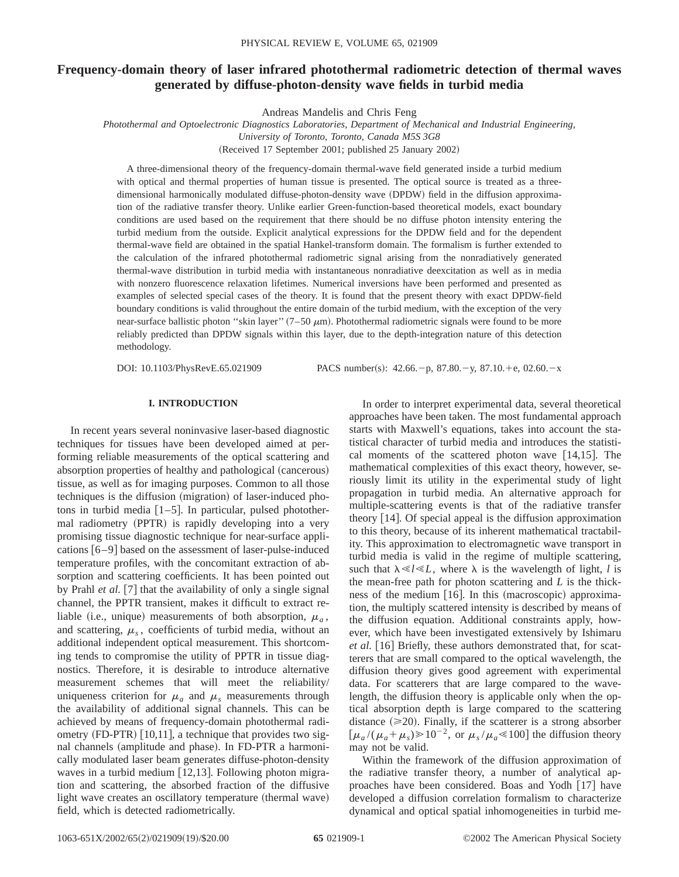# **Frequency-domain theory of laser infrared photothermal radiometric detection of thermal waves generated by diffuse-photon-density wave fields in turbid media**

Andreas Mandelis and Chris Feng

*Photothermal and Optoelectronic Diagnostics Laboratories, Department of Mechanical and Industrial Engineering, University of Toronto, Toronto, Canada M5S 3G8* (Received 17 September 2001; published 25 January 2002)

A three-dimensional theory of the frequency-domain thermal-wave field generated inside a turbid medium with optical and thermal properties of human tissue is presented. The optical source is treated as a threedimensional harmonically modulated diffuse-photon-density wave (DPDW) field in the diffusion approximation of the radiative transfer theory. Unlike earlier Green-function-based theoretical models, exact boundary conditions are used based on the requirement that there should be no diffuse photon intensity entering the turbid medium from the outside. Explicit analytical expressions for the DPDW field and for the dependent thermal-wave field are obtained in the spatial Hankel-transform domain. The formalism is further extended to the calculation of the infrared photothermal radiometric signal arising from the nonradiatively generated thermal-wave distribution in turbid media with instantaneous nonradiative deexcitation as well as in media with nonzero fluorescence relaxation lifetimes. Numerical inversions have been performed and presented as examples of selected special cases of the theory. It is found that the present theory with exact DPDW-field boundary conditions is valid throughout the entire domain of the turbid medium, with the exception of the very near-surface ballistic photon "skin layer"  $(7-50 \mu m)$ . Photothermal radiometric signals were found to be more reliably predicted than DPDW signals within this layer, due to the depth-integration nature of this detection methodology.

DOI: 10.1103/PhysRevE.65.021909 PACS number(s): 42.66.-p, 87.80.-y, 87.10.+e, 02.60.-x

## **I. INTRODUCTION**

In recent years several noninvasive laser-based diagnostic techniques for tissues have been developed aimed at performing reliable measurements of the optical scattering and absorption properties of healthy and pathological (cancerous) tissue, as well as for imaging purposes. Common to all those techniques is the diffusion (migration) of laser-induced photons in turbid media  $[1–5]$ . In particular, pulsed photothermal radiometry (PPTR) is rapidly developing into a very promising tissue diagnostic technique for near-surface applications  $[6–9]$  based on the assessment of laser-pulse-induced temperature profiles, with the concomitant extraction of absorption and scattering coefficients. It has been pointed out by Prahl *et al.* [7] that the availability of only a single signal channel, the PPTR transient, makes it difficult to extract reliable (i.e., unique) measurements of both absorption,  $\mu_a$ , and scattering,  $\mu_s$ , coefficients of turbid media, without an additional independent optical measurement. This shortcoming tends to compromise the utility of PPTR in tissue diagnostics. Therefore, it is desirable to introduce alternative measurement schemes that will meet the reliability/ uniqueness criterion for  $\mu_a$  and  $\mu_s$  measurements through the availability of additional signal channels. This can be achieved by means of frequency-domain photothermal radiometry  $(FD-PTR)$  [10,11], a technique that provides two signal channels (amplitude and phase). In FD-PTR a harmonically modulated laser beam generates diffuse-photon-density waves in a turbid medium  $[12,13]$ . Following photon migration and scattering, the absorbed fraction of the diffusive light wave creates an oscillatory temperature (thermal wave) field, which is detected radiometrically.

In order to interpret experimental data, several theoretical approaches have been taken. The most fundamental approach starts with Maxwell's equations, takes into account the statistical character of turbid media and introduces the statistical moments of the scattered photon wave  $[14,15]$ . The mathematical complexities of this exact theory, however, seriously limit its utility in the experimental study of light propagation in turbid media. An alternative approach for multiple-scattering events is that of the radiative transfer theory  $[14]$ . Of special appeal is the diffusion approximation to this theory, because of its inherent mathematical tractability. This approximation to electromagnetic wave transport in turbid media is valid in the regime of multiple scattering, such that  $\lambda \ll l \ll L$ , where  $\lambda$  is the wavelength of light, *l* is the mean-free path for photon scattering and *L* is the thickness of the medium  $[16]$ . In this (macroscopic) approximation, the multiply scattered intensity is described by means of the diffusion equation. Additional constraints apply, however, which have been investigated extensively by Ishimaru *et al.* [16] Briefly, these authors demonstrated that, for scatterers that are small compared to the optical wavelength, the diffusion theory gives good agreement with experimental data. For scatterers that are large compared to the wavelength, the diffusion theory is applicable only when the optical absorption depth is large compared to the scattering distance  $(\geq 20)$ . Finally, if the scatterer is a strong absorber  $\left[\mu_a / (\mu_a + \mu_s) \right] \ge 10^{-2}$ , or  $\mu_s / \mu_a \le 100$  the diffusion theory may not be valid.

Within the framework of the diffusion approximation of the radiative transfer theory, a number of analytical approaches have been considered. Boas and Yodh [17] have developed a diffusion correlation formalism to characterize dynamical and optical spatial inhomogeneities in turbid me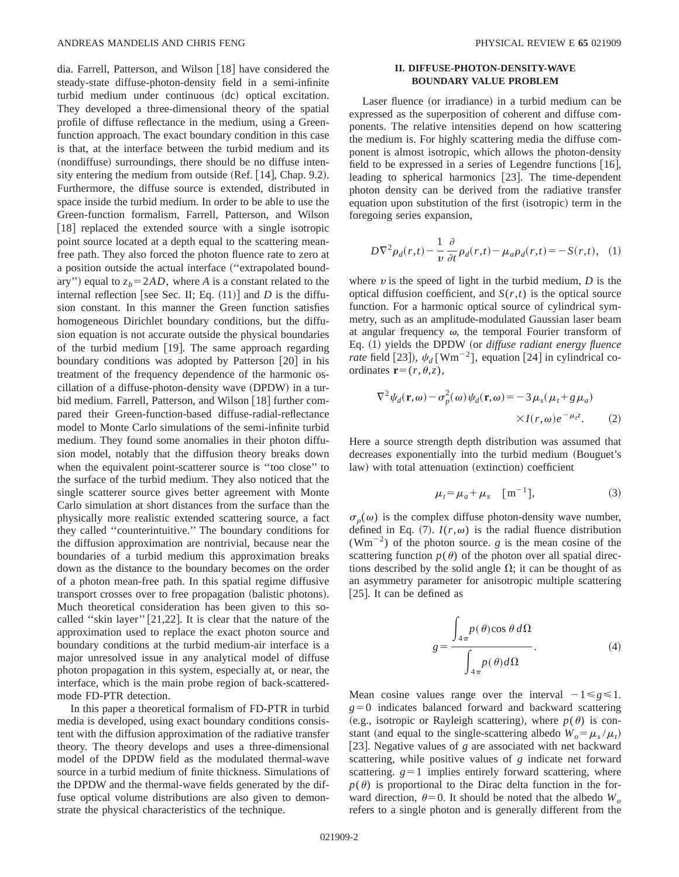dia. Farrell, Patterson, and Wilson  $|18|$  have considered the steady-state diffuse-photon-density field in a semi-infinite turbid medium under continuous (dc) optical excitation. They developed a three-dimensional theory of the spatial profile of diffuse reflectance in the medium, using a Greenfunction approach. The exact boundary condition in this case is that, at the interface between the turbid medium and its (nondiffuse) surroundings, there should be no diffuse intensity entering the medium from outside  $(Ref. [14], Chap. 9.2).$ Furthermore, the diffuse source is extended, distributed in space inside the turbid medium. In order to be able to use the Green-function formalism, Farrell, Patterson, and Wilson [18] replaced the extended source with a single isotropic point source located at a depth equal to the scattering meanfree path. They also forced the photon fluence rate to zero at a position outside the actual interface ("extrapolated boundary'') equal to  $z_b = 2AD$ , where *A* is a constant related to the internal reflection [see Sec. II; Eq.  $(11)$ ] and *D* is the diffusion constant. In this manner the Green function satisfies homogeneous Dirichlet boundary conditions, but the diffusion equation is not accurate outside the physical boundaries of the turbid medium  $[19]$ . The same approach regarding boundary conditions was adopted by Patterson  $[20]$  in his treatment of the frequency dependence of the harmonic oscillation of a diffuse-photon-density wave (DPDW) in a turbid medium. Farrell, Patterson, and Wilson [18] further compared their Green-function-based diffuse-radial-reflectance model to Monte Carlo simulations of the semi-infinite turbid medium. They found some anomalies in their photon diffusion model, notably that the diffusion theory breaks down when the equivalent point-scatterer source is ''too close'' to the surface of the turbid medium. They also noticed that the single scatterer source gives better agreement with Monte Carlo simulation at short distances from the surface than the physically more realistic extended scattering source, a fact they called ''counterintuitive.'' The boundary conditions for the diffusion approximation are nontrivial, because near the boundaries of a turbid medium this approximation breaks down as the distance to the boundary becomes on the order of a photon mean-free path. In this spatial regime diffusive transport crosses over to free propagation (balistic photons). Much theoretical consideration has been given to this socalled "skin layer"  $[21,22]$ . It is clear that the nature of the approximation used to replace the exact photon source and boundary conditions at the turbid medium-air interface is a major unresolved issue in any analytical model of diffuse photon propagation in this system, especially at, or near, the interface, which is the main probe region of back-scatteredmode FD-PTR detection.

In this paper a theoretical formalism of FD-PTR in turbid media is developed, using exact boundary conditions consistent with the diffusion approximation of the radiative transfer theory. The theory develops and uses a three-dimensional model of the DPDW field as the modulated thermal-wave source in a turbid medium of finite thickness. Simulations of the DPDW and the thermal-wave fields generated by the diffuse optical volume distributions are also given to demonstrate the physical characteristics of the technique.

## **II. DIFFUSE-PHOTON-DENSITY-WAVE BOUNDARY VALUE PROBLEM**

Laser fluence (or irradiance) in a turbid medium can be expressed as the superposition of coherent and diffuse components. The relative intensities depend on how scattering the medium is. For highly scattering media the diffuse component is almost isotropic, which allows the photon-density field to be expressed in a series of Legendre functions  $[16]$ , leading to spherical harmonics [23]. The time-dependent photon density can be derived from the radiative transfer equation upon substitution of the first (isotropic) term in the foregoing series expansion,

$$
D\nabla^2 \rho_d(r,t) - \frac{1}{\nu} \frac{\partial}{\partial t} \rho_d(r,t) - \mu_a \rho_d(r,t) = -S(r,t), \quad (1)
$$

where  $\nu$  is the speed of light in the turbid medium,  $D$  is the optical diffusion coefficient, and  $S(r,t)$  is the optical source function. For a harmonic optical source of cylindrical symmetry, such as an amplitude-modulated Gaussian laser beam at angular frequency  $\omega$ , the temporal Fourier transform of Eq. (1) yields the DPDW (or *diffuse radiant energy fluence rate* field [23]),  $\psi_d$  [Wm<sup>-2</sup>], equation [24] in cylindrical coordinates  $\mathbf{r}=(r,\theta,z)$ ,

$$
\nabla^2 \psi_d(\mathbf{r}, \omega) - \sigma_p^2(\omega) \psi_d(\mathbf{r}, \omega) = -3 \mu_s(\mu_t + g \mu_a)
$$
  
 
$$
\times I(r, \omega) e^{-\mu_t z}.
$$
 (2)

Here a source strength depth distribution was assumed that decreases exponentially into the turbid medium (Bouguet's law) with total attenuation (extinction) coefficient

$$
\mu_t = \mu_a + \mu_s \quad [\text{m}^{-1}], \tag{3}
$$

 $\sigma_{\rho}(\omega)$  is the complex diffuse photon-density wave number, defined in Eq. (7).  $I(r, \omega)$  is the radial fluence distribution  $(Wm^{-2})$  of the photon source. *g* is the mean cosine of the scattering function  $p(\theta)$  of the photon over all spatial directions described by the solid angle  $\Omega$ ; it can be thought of as an asymmetry parameter for anisotropic multiple scattering [ $25$ ]. It can be defined as

$$
g = \frac{\int_{4\pi} p(\theta) \cos \theta \, d\Omega}{\int_{4\pi} p(\theta) d\Omega}.
$$
 (4)

Mean cosine values range over the interval  $-1 \le g \le 1$ .  $g=0$  indicates balanced forward and backward scattering (e.g., isotropic or Rayleigh scattering), where  $p(\theta)$  is constant (and equal to the single-scattering albedo  $W_o = \mu_s / \mu_t$ ) [23]. Negative values of *g* are associated with net backward scattering, while positive values of *g* indicate net forward scattering.  $g=1$  implies entirely forward scattering, where  $p(\theta)$  is proportional to the Dirac delta function in the forward direction,  $\theta = 0$ . It should be noted that the albedo *W<sub>o</sub>* refers to a single photon and is generally different from the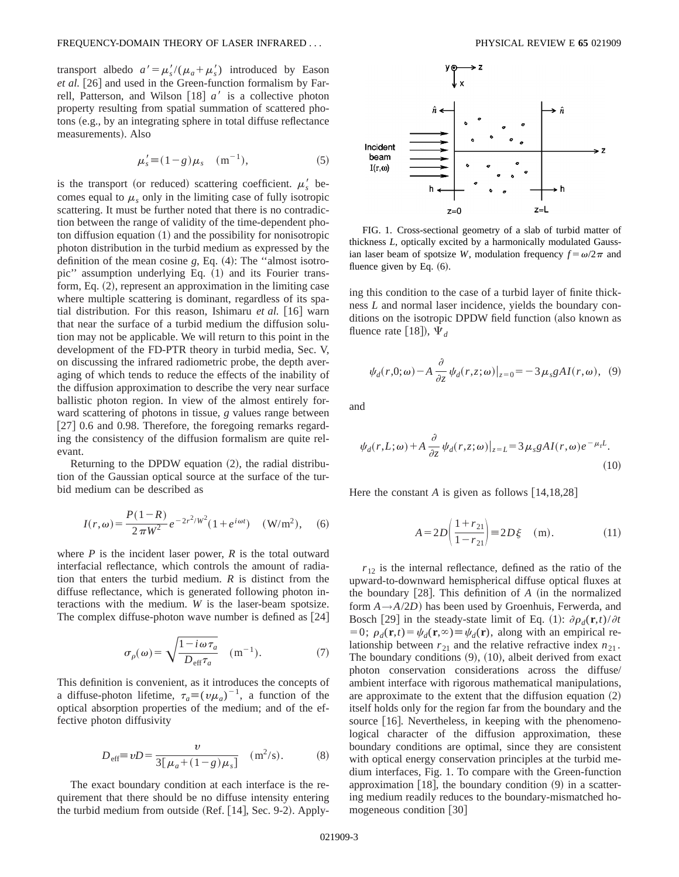transport albedo  $a' = \mu_s' / (\mu_a + \mu_s')$  introduced by Eason *et al.* [26] and used in the Green-function formalism by Farrell, Patterson, and Wilson  $\begin{bmatrix} 18 \\ a' \end{bmatrix}$  *a*<sup>8</sup> is a collective photon property resulting from spatial summation of scattered photons (e.g., by an integrating sphere in total diffuse reflectance measurements). Also

$$
\mu'_{s} \equiv (1 - g)\mu_{s} \quad (\text{m}^{-1}), \tag{5}
$$

is the transport (or reduced) scattering coefficient.  $\mu'_{s}$  becomes equal to  $\mu_s$  only in the limiting case of fully isotropic scattering. It must be further noted that there is no contradiction between the range of validity of the time-dependent photon diffusion equation  $(1)$  and the possibility for nonisotropic photon distribution in the turbid medium as expressed by the definition of the mean cosine  $g$ , Eq.  $(4)$ : The "almost isotropic" assumption underlying Eq. (1) and its Fourier transform, Eq.  $(2)$ , represent an approximation in the limiting case where multiple scattering is dominant, regardless of its spatial distribution. For this reason, Ishimaru *et al.* [16] warn that near the surface of a turbid medium the diffusion solution may not be applicable. We will return to this point in the development of the FD-PTR theory in turbid media, Sec. V, on discussing the infrared radiometric probe, the depth averaging of which tends to reduce the effects of the inability of the diffusion approximation to describe the very near surface ballistic photon region. In view of the almost entirely forward scattering of photons in tissue, *g* values range between  $[27]$  0.6 and 0.98. Therefore, the foregoing remarks regarding the consistency of the diffusion formalism are quite relevant.

Returning to the DPDW equation  $(2)$ , the radial distribution of the Gaussian optical source at the surface of the turbid medium can be described as

$$
I(r,\omega) = \frac{P(1-R)}{2\pi W^2} e^{-2r^2/W^2} (1 + e^{i\omega t}) \quad (\text{W/m}^2), \quad (6)
$$

where  $P$  is the incident laser power,  $R$  is the total outward interfacial reflectance, which controls the amount of radiation that enters the turbid medium. *R* is distinct from the diffuse reflectance, which is generated following photon interactions with the medium. *W* is the laser-beam spotsize. The complex diffuse-photon wave number is defined as  $[24]$ 

$$
\sigma_{\rho}(\omega) = \sqrt{\frac{1 - i \omega \tau_a}{D_{\text{eff}} \tau_a}} \quad (\text{m}^{-1}). \tag{7}
$$

This definition is convenient, as it introduces the concepts of a diffuse-photon lifetime,  $\tau_a \equiv (\nu \mu_a)^{-1}$ , a function of the optical absorption properties of the medium; and of the effective photon diffusivity

$$
D_{\text{eff}} \equiv vD = \frac{v}{3[\mu_a + (1 - g)\mu_s]} \quad (m^2/s). \tag{8}
$$

The exact boundary condition at each interface is the requirement that there should be no diffuse intensity entering the turbid medium from outside (Ref.  $[14]$ , Sec. 9-2). Apply-



FIG. 1. Cross-sectional geometry of a slab of turbid matter of thickness *L*, optically excited by a harmonically modulated Gaussian laser beam of spotsize *W*, modulation frequency  $f = \omega/2\pi$  and fluence given by Eq.  $(6)$ .

ing this condition to the case of a turbid layer of finite thickness *L* and normal laser incidence, yields the boundary conditions on the isotropic DPDW field function (also known as fluence rate [18]),  $\Psi_d$ 

$$
\psi_d(r,0;\omega) - A \frac{\partial}{\partial z} \psi_d(r,z;\omega)|_{z=0} = -3 \mu_s g A I(r,\omega), \tag{9}
$$

and

$$
\psi_d(r, L; \omega) + A \frac{\partial}{\partial z} \psi_d(r, z; \omega)|_{z=L} = 3 \mu_s g A I(r, \omega) e^{-\mu_t L}.
$$
\n(10)

Here the constant *A* is given as follows  $[14,18,28]$ 

$$
A = 2D\left(\frac{1 + r_{21}}{1 - r_{21}}\right) = 2D\xi \quad (m).
$$
 (11)

 $r_{12}$  is the internal reflectance, defined as the ratio of the upward-to-downward hemispherical diffuse optical fluxes at the boundary  $[28]$ . This definition of *A* (in the normalized form  $A \rightarrow A/2D$ ) has been used by Groenhuis, Ferwerda, and Bosch [29] in the steady-state limit of Eq. (1):  $\partial \rho_d(\mathbf{r},t)/\partial t$ =0;  $\rho_d(\mathbf{r},t) = \psi_d(\mathbf{r},\infty) \equiv \psi_d(\mathbf{r})$ , along with an empirical relationship between  $r_{21}$  and the relative refractive index  $n_{21}$ . The boundary conditions  $(9)$ ,  $(10)$ , albeit derived from exact photon conservation considerations across the diffuse/ ambient interface with rigorous mathematical manipulations, are approximate to the extent that the diffusion equation  $(2)$ itself holds only for the region far from the boundary and the source  $|16|$ . Nevertheless, in keeping with the phenomenological character of the diffusion approximation, these boundary conditions are optimal, since they are consistent with optical energy conservation principles at the turbid medium interfaces, Fig. 1. To compare with the Green-function approximation  $[18]$ , the boundary condition  $(9)$  in a scattering medium readily reduces to the boundary-mismatched homogeneous condition [30]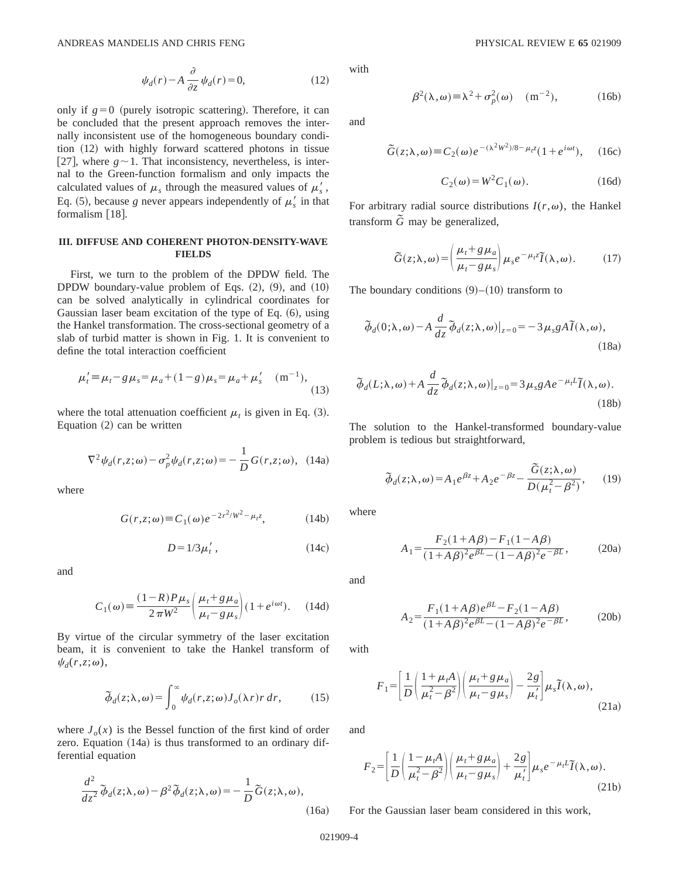$$
\psi_d(r) - A \frac{\partial}{\partial z} \psi_d(r) = 0, \tag{12}
$$

only if  $g=0$  (purely isotropic scattering). Therefore, it can be concluded that the present approach removes the internally inconsistent use of the homogeneous boundary condi- $~12)$  with highly forward scattered photons in tissue [27], where  $g \sim 1$ . That inconsistency, nevertheless, is internal to the Green-function formalism and only impacts the calculated values of  $\mu_s$  through the measured values of  $\mu'_s$ , Eq. (5), because *g* never appears independently of  $\mu'_{s}$  in that formalism  $[18]$ .

#### **III. DIFFUSE AND COHERENT PHOTON-DENSITY-WAVE FIELDS**

First, we turn to the problem of the DPDW field. The DPDW boundary-value problem of Eqs.  $(2)$ ,  $(9)$ , and  $(10)$ can be solved analytically in cylindrical coordinates for Gaussian laser beam excitation of the type of Eq.  $(6)$ , using the Hankel transformation. The cross-sectional geometry of a slab of turbid matter is shown in Fig. 1. It is convenient to define the total interaction coefficient

$$
\mu'_{t} \equiv \mu_{t} - g \mu_{s} = \mu_{a} + (1 - g) \mu_{s} = \mu_{a} + \mu'_{s} \quad (m^{-1}),
$$
\n(13)

where the total attenuation coefficient  $\mu_t$  is given in Eq. (3). Equation  $(2)$  can be written

$$
\nabla^2 \psi_d(r, z; \omega) - \sigma_p^2 \psi_d(r, z; \omega) = -\frac{1}{D} G(r, z; \omega), \tag{14a}
$$

where

$$
G(r, z; \omega) \equiv C_1(\omega) e^{-2r^2/W^2 - \mu_r z}, \qquad (14b)
$$

$$
D = 1/3\mu_t',\qquad(14c)
$$

and

$$
C_1(\omega) \equiv \frac{(1-R)P\mu_s}{2\pi W^2} \left(\frac{\mu_t + g\mu_a}{\mu_t - g\mu_s}\right) (1 + e^{i\omega t}). \quad (14d)
$$

By virtue of the circular symmetry of the laser excitation beam, it is convenient to take the Hankel transform of  $\psi_d(r,z;\omega)$ ,

$$
\widetilde{\phi}_d(z;\lambda,\omega) = \int_0^\infty \psi_d(r,z;\omega) J_o(\lambda r) r \, dr,\tag{15}
$$

where  $J<sub>o</sub>(x)$  is the Bessel function of the first kind of order zero. Equation  $(14a)$  is thus transformed to an ordinary differential equation

$$
\frac{d^2}{dz^2}\,\tilde{\phi}_d(z;\lambda,\omega) - \beta^2\,\tilde{\phi}_d(z;\lambda,\omega) = -\frac{1}{D}\,\tilde{G}(z;\lambda,\omega),\tag{16a}
$$

with

and

$$
\tilde{G}(z;\lambda,\omega) \equiv C_2(\omega)e^{-(\lambda^2 W^2)/8 - \mu_{\tilde{t}}}(1 + e^{i\omega t}), \quad (16c)
$$

 $\beta^2(\lambda,\omega) \equiv \lambda^2 + \sigma_p^2(\omega) \quad (\text{m}^{-2}),$  (16b)

$$
C_2(\omega) = W^2 C_1(\omega). \tag{16d}
$$

For arbitrary radial source distributions  $I(r, \omega)$ , the Hankel transform  $\tilde{G}$  may be generalized,

$$
\widetilde{G}(z;\lambda,\omega) = \left(\frac{\mu_t + g\,\mu_a}{\mu_t - g\,\mu_s}\right)\mu_s e^{-\mu_t z} \widetilde{I}(\lambda,\omega). \tag{17}
$$

The boundary conditions  $(9)–(10)$  transform to

$$
\tilde{\phi}_d(0;\lambda,\omega) - A \frac{d}{dz} \tilde{\phi}_d(z;\lambda,\omega)|_{z=0} = -3 \mu_s g A \tilde{I}(\lambda,\omega),
$$
\n(18a)

$$
\tilde{\phi}_d(L;\lambda,\omega) + A \frac{d}{dz} \tilde{\phi}_d(z;\lambda,\omega)|_{z=0} = 3 \mu_s g A e^{-\mu_l L} \tilde{I}(\lambda,\omega).
$$
\n(18b)

The solution to the Hankel-transformed boundary-value problem is tedious but straightforward,

$$
\tilde{\phi}_d(z;\lambda,\omega) = A_1 e^{\beta z} + A_2 e^{-\beta z} - \frac{\tilde{G}(z;\lambda,\omega)}{D(\mu_t^2 - \beta^2)},\qquad(19)
$$

where

$$
A_1 = \frac{F_2(1+A\beta) - F_1(1-A\beta)}{(1+A\beta)^2 e^{\beta L} - (1-A\beta)^2 e^{-\beta L}},
$$
 (20a)

and

$$
A_2 = \frac{F_1(1+A\beta)e^{\beta L} - F_2(1-A\beta)}{(1+A\beta)^2 e^{\beta L} - (1-A\beta)^2 e^{-\beta L}},
$$
 (20b)

with

$$
F_1 = \left[\frac{1}{D} \left(\frac{1+\mu_t A}{\mu_t^2 - \beta^2}\right) \left(\frac{\mu_t + g \mu_a}{\mu_t - g \mu_s}\right) - \frac{2g}{\mu_t'}\right] \mu_s \tilde{I}(\lambda, \omega),\tag{21a}
$$

and

$$
F_2 = \left[\frac{1}{D} \left(\frac{1 - \mu_t A}{\mu_t^2 - \beta^2}\right) \left(\frac{\mu_t + g \mu_a}{\mu_t - g \mu_s}\right) + \frac{2g}{\mu_t'}\right] \mu_s e^{-\mu_t L} \tilde{I}(\lambda, \omega).
$$
\n(21b)

For the Gaussian laser beam considered in this work,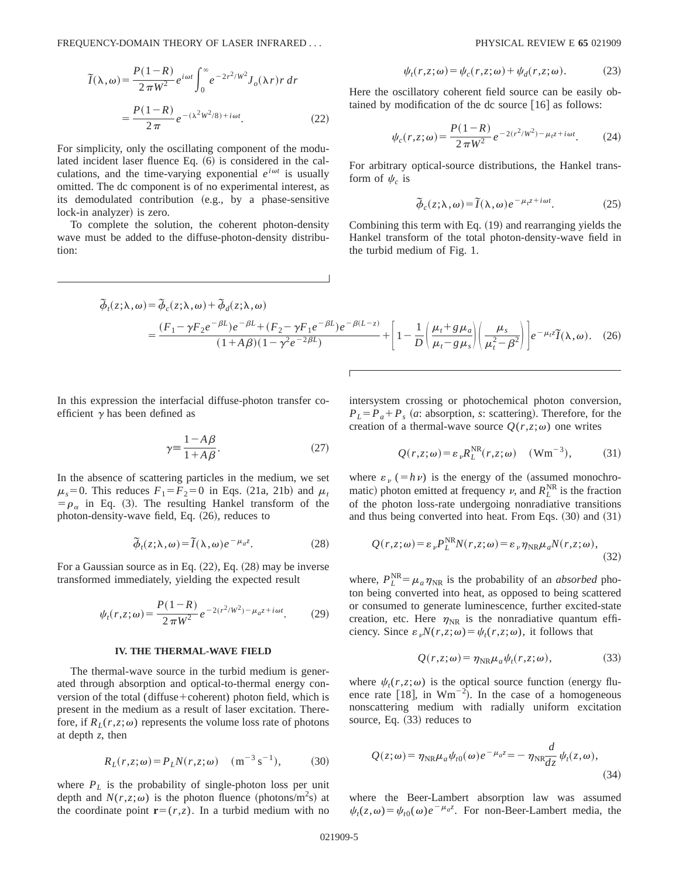$$
\widetilde{I}(\lambda,\omega) = \frac{P(1-R)}{2\pi W^2} e^{i\omega t} \int_0^\infty e^{-2r^2/W^2} J_o(\lambda r) r \, dr
$$

$$
= \frac{P(1-R)}{2\pi} e^{-(\lambda^2 W^2/8) + i\omega t}.
$$
(22)

For simplicity, only the oscillating component of the modulated incident laser fluence Eq.  $(6)$  is considered in the calculations, and the time-varying exponential  $e^{i\omega t}$  is usually omitted. The dc component is of no experimental interest, as its demodulated contribution (e.g., by a phase-sensitive lock-in analyzer) is zero.

To complete the solution, the coherent photon-density wave must be added to the diffuse-photon-density distribution:

$$
\psi_t(r,z;\omega) = \psi_c(r,z;\omega) + \psi_d(r,z;\omega). \tag{23}
$$

Here the oscillatory coherent field source can be easily obtained by modification of the dc source  $[16]$  as follows:

$$
\psi_c(r,z;\omega) = \frac{P(1-R)}{2\,\pi W^2} \, e^{-2(r^2/W^2) - \mu_r z + i\omega t}.\tag{24}
$$

For arbitrary optical-source distributions, the Hankel transform of  $\psi_c$  is

$$
\tilde{\phi}_c(z;\lambda,\omega) = \tilde{I}(\lambda,\omega)e^{-\mu_1 z + i\omega t}.
$$
 (25)

Combining this term with Eq.  $(19)$  and rearranging yields the Hankel transform of the total photon-density-wave field in the turbid medium of Fig. 1.

$$
\tilde{\phi}_t(z;\lambda,\omega) = \tilde{\phi}_c(z;\lambda,\omega) + \tilde{\phi}_d(z;\lambda,\omega)
$$
\n
$$
= \frac{(F_1 - \gamma F_2 e^{-\beta L})e^{-\beta L} + (F_2 - \gamma F_1 e^{-\beta L})e^{-\beta (L-z)}}{(1 + A\beta)(1 - \gamma^2 e^{-2\beta L})} + \left[1 - \frac{1}{D} \left(\frac{\mu_t + g\mu_a}{\mu_t - g\mu_s}\right) \left(\frac{\mu_s}{\mu_t^2 - \beta^2}\right)\right]e^{-\mu_t z}\tilde{I}(\lambda,\omega). \quad (26)
$$

In this expression the interfacial diffuse-photon transfer coefficient  $\gamma$  has been defined as

$$
\gamma \equiv \frac{1 - A\beta}{1 + A\beta}.\tag{27}
$$

In the absence of scattering particles in the medium, we set  $\mu_s$ =0. This reduces  $F_1 = F_2 = 0$  in Eqs. (21a, 21b) and  $\mu_t$  $= \rho_{\alpha}$  in Eq. (3). The resulting Hankel transform of the photon-density-wave field, Eq. (26), reduces to

$$
\tilde{\phi}_t(z;\lambda,\omega) = \tilde{I}(\lambda,\omega)e^{-\mu_a z}.
$$
 (28)

For a Gaussian source as in Eq.  $(22)$ , Eq.  $(28)$  may be inverse transformed immediately, yielding the expected result

$$
\psi_t(r,z;\omega) = \frac{P(1-R)}{2\pi W^2} e^{-2(r^2/W^2) - \mu_a z + i\omega t}.
$$
 (29)

#### **IV. THE THERMAL-WAVE FIELD**

The thermal-wave source in the turbid medium is generated through absorption and optical-to-thermal energy conversion of the total (diffuse+coherent) photon field, which is present in the medium as a result of laser excitation. Therefore, if  $R_L(r, z; \omega)$  represents the volume loss rate of photons at depth *z*, then

$$
R_L(r, z; \omega) = P_L N(r, z; \omega) \quad (\text{m}^{-3} \text{ s}^{-1}), \tag{30}
$$

where  $P_L$  is the probability of single-photon loss per unit depth and  $N(r, z; \omega)$  is the photon fluence (photons/m<sup>2</sup>s) at the coordinate point  $\mathbf{r}=(r,z)$ . In a turbid medium with no

intersystem crossing or photochemical photon conversion,  $P_L = P_a + P_s$  (*a*: absorption, *s*: scattering). Therefore, for the creation of a thermal-wave source  $Q(r, z; \omega)$  one writes

$$
Q(r, z; \omega) = \varepsilon_{\nu} R_L^{\text{NR}}(r, z; \omega) \quad (\text{Wm}^{-3}), \tag{31}
$$

where  $\varepsilon_{\nu}$  (=h $\nu$ ) is the energy of the (assumed monochromatic) photon emitted at frequency  $\nu$ , and  $R_L^{\text{NR}}$  is the fraction of the photon loss-rate undergoing nonradiative transitions and thus being converted into heat. From Eqs.  $(30)$  and  $(31)$ 

$$
Q(r,z;\omega) = \varepsilon_{\nu} P_L^{\text{NR}} N(r,z;\omega) = \varepsilon_{\nu} \eta_{\text{NR}} \mu_a N(r,z;\omega),
$$
\n(32)

where,  $P_L^{\text{NR}} = \mu_a \eta_{\text{NR}}$  is the probability of an *absorbed* photon being converted into heat, as opposed to being scattered or consumed to generate luminescence, further excited-state creation, etc. Here  $\eta_{NR}$  is the nonradiative quantum efficiency. Since  $\varepsilon_p N(r,z;\omega) = \psi_t(r,z;\omega)$ , it follows that

$$
Q(r,z;\omega) = \eta_{\text{NR}} \mu_a \psi_t(r,z;\omega), \tag{33}
$$

where  $\psi_t(r,z;\omega)$  is the optical source function (energy fluence rate [18], in  $Wm^{-2}$ ). In the case of a homogeneous nonscattering medium with radially uniform excitation source, Eq.  $(33)$  reduces to

$$
Q(z; \omega) = \eta_{\text{NR}} \mu_a \psi_{t0}(\omega) e^{-\mu_a z} = -\eta_{\text{NR}} \frac{d}{dz} \psi_t(z, \omega),
$$
\n(34)

where the Beer-Lambert absorption law was assumed  $\psi_t(z,\omega) = \psi_{t0}(\omega)e^{-\mu_a z}$ . For non-Beer-Lambert media, the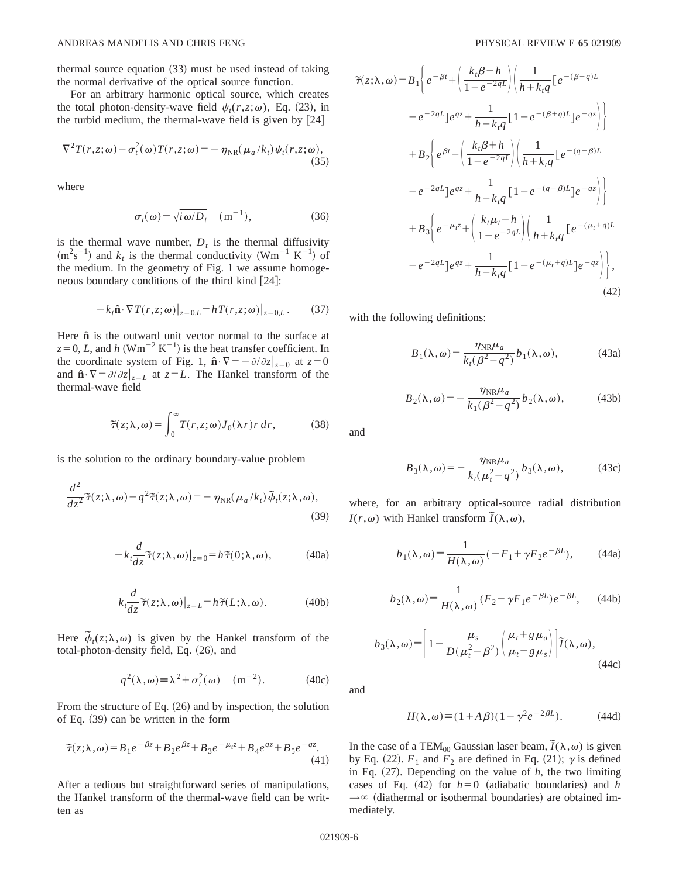thermal source equation  $(33)$  must be used instead of taking the normal derivative of the optical source function.

For an arbitrary harmonic optical source, which creates the total photon-density-wave field  $\psi_t(r,z;\omega)$ , Eq. (23), in the turbid medium, the thermal-wave field is given by  $[24]$ 

$$
\nabla^2 T(r,z;\omega) - \sigma_t^2(\omega) T(r,z;\omega) = -\eta_{\rm NR}(\mu_a/k_t) \psi_t(r,z;\omega),\tag{35}
$$

where

$$
\sigma_t(\omega) = \sqrt{i \omega / D_t} \quad (\text{m}^{-1}), \tag{36}
$$

is the thermal wave number,  $D_t$  is the thermal diffusivity  $(m^2s^{-1})$  and  $k_t$  is the thermal conductivity  $(Wm^{-1} K^{-1})$  of the medium. In the geometry of Fig. 1 we assume homogeneous boundary conditions of the third kind  $[24]$ :

$$
-k_t \hat{\mathbf{n}} \cdot \nabla T(r, z; \omega)|_{z=0, L} = h T(r, z; \omega)|_{z=0, L}.
$$
 (37)

Here  $\hat{\bf{n}}$  is the outward unit vector normal to the surface at  $z=0, L$ , and *h* (Wm<sup>-2</sup> K<sup>-1</sup>) is the heat transfer coefficient. In the coordinate system of Fig. 1,  $\hat{\mathbf{n}} \cdot \nabla = -\partial/\partial z|_{z=0}$  at  $z=0$ and  $\hat{\mathbf{n}} \cdot \nabla = \partial/\partial z|_{z=L}$  at  $z = L$ . The Hankel transform of the thermal-wave field

$$
\tilde{\tau}(z;\lambda,\omega) = \int_0^\infty T(r,z;\omega)J_0(\lambda r)r\,dr,\tag{38}
$$

is the solution to the ordinary boundary-value problem

$$
\frac{d^2}{dz^2}\tilde{\tau}(z;\lambda,\omega) - q^2\tilde{\tau}(z;\lambda,\omega) = -\eta_{\rm NR}(\mu_a/k_t)\tilde{\phi}_t(z;\lambda,\omega),\tag{39}
$$

$$
-k_t \frac{d}{dz} \tilde{\tau}(z; \lambda, \omega)|_{z=0} = h \tilde{\tau}(0; \lambda, \omega), \tag{40a}
$$

$$
k_{t} \frac{d}{dz} \tilde{\tau}(z; \lambda, \omega)|_{z=L} = h \tilde{\tau}(L; \lambda, \omega).
$$
 (40b)

Here  $\tilde{\phi}_t(z;\lambda,\omega)$  is given by the Hankel transform of the total-photon-density field, Eq. (26), and

$$
q^{2}(\lambda,\omega) \equiv \lambda^{2} + \sigma_{t}^{2}(\omega) \quad (\text{m}^{-2}). \tag{40c}
$$

From the structure of Eq.  $(26)$  and by inspection, the solution of Eq.  $(39)$  can be written in the form

$$
\tilde{\tau}(z;\lambda,\omega) = B_1 e^{-\beta z} + B_2 e^{\beta z} + B_3 e^{-\mu_1 z} + B_4 e^{qz} + B_5 e^{-qz}.
$$
\n(41)

After a tedious but straightforward series of manipulations, the Hankel transform of the thermal-wave field can be written as

$$
\tilde{\tau}(z;\lambda,\omega) = B_1 \Biggl\{ e^{-\beta t} + \left( \frac{k_t \beta - h}{1 - e^{-2qL}} \right) \left( \frac{1}{h + k_t q} \left[ e^{-(\beta + q)L} \right] \right. \\ \left. - e^{-2qL} \right] e^{qz} + \frac{1}{h - k_t q} \left[ 1 - e^{-(\beta + q)L} \right] e^{-qz} \Biggr\} \Biggr\}
$$
\n
$$
+ B_2 \Biggl\{ e^{\beta t} - \left( \frac{k_t \beta + h}{1 - e^{-2qL}} \right) \left( \frac{1}{h + k_t q} \left[ e^{-(q - \beta)L} \right] \right. \\ \left. - e^{-2qL} \right] e^{qz} + \frac{1}{h - k_t q} \left[ 1 - e^{-(q - \beta)L} \right] e^{-qz} \Biggr\} \Biggr\}
$$
\n
$$
+ B_3 \Biggl\{ e^{-\mu_t z} + \left( \frac{k_t \mu_t - h}{1 - e^{-2qL}} \right) \left( \frac{1}{h + k_t q} \left[ e^{-(\mu_t + q)L} \right] \right. \\ \left. - e^{-2qL} \right] e^{qz} + \frac{1}{h - k_t q} \left[ 1 - e^{-(\mu_t + q)L} \right] e^{-qz} \Biggr\} \Biggr\}, \tag{42}
$$

with the following definitions:

$$
B_1(\lambda,\omega) = \frac{\eta_{\text{NR}}\mu_a}{k_t(\beta^2 - q^2)} b_1(\lambda,\omega),\tag{43a}
$$

$$
B_2(\lambda,\omega) = -\frac{\eta_{\rm NR}\mu_a}{k_1(\beta^2 - q^2)} b_2(\lambda,\omega),\tag{43b}
$$

and

$$
B_3(\lambda,\omega) = -\frac{\eta_{\rm NR}\mu_a}{k_t(\mu_t^2 - q^2)} b_3(\lambda,\omega),\tag{43c}
$$

where, for an arbitrary optical-source radial distribution *I*( $r, \omega$ ) with Hankel transform  $\overline{I}(\lambda, \omega)$ ,

$$
b_1(\lambda, \omega) \equiv \frac{1}{H(\lambda, \omega)} \left( -F_1 + \gamma F_2 e^{-\beta L} \right), \quad (44a)
$$

$$
b_2(\lambda,\omega) \equiv \frac{1}{H(\lambda,\omega)} (F_2 - \gamma F_1 e^{-\beta L}) e^{-\beta L}, \qquad (44b)
$$

$$
b_3(\lambda,\omega) \equiv \left[1 - \frac{\mu_s}{D(\mu_t^2 - \beta^2)} \left(\frac{\mu_t + g \mu_a}{\mu_t - g \mu_s}\right)\right] \tilde{I}(\lambda,\omega),\tag{44c}
$$

and

$$
H(\lambda, \omega) \equiv (1 + A\beta)(1 - \gamma^2 e^{-2\beta L}).
$$
 (44d)

In the case of a TEM<sub>00</sub> Gaussian laser beam,  $\tilde{I}(\lambda,\omega)$  is given by Eq. (22).  $F_1$  and  $F_2$  are defined in Eq. (21);  $\gamma$  is defined in Eq.  $(27)$ . Depending on the value of *h*, the two limiting cases of Eq.  $(42)$  for  $h=0$  (adiabatic boundaries) and *h*  $\rightarrow \infty$  (diathermal or isothermal boundaries) are obtained immediately.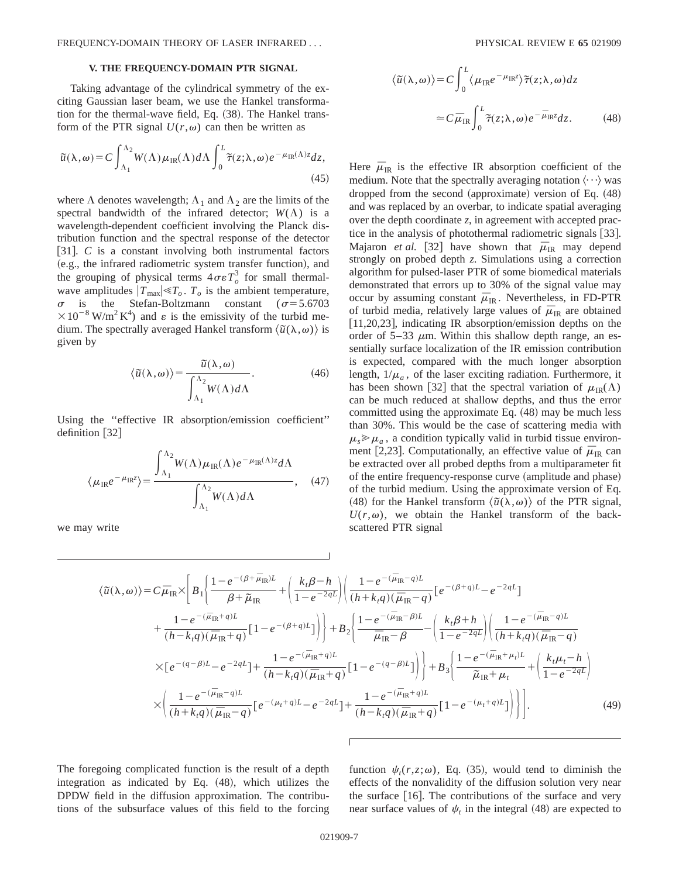#### **V. THE FREQUENCY-DOMAIN PTR SIGNAL**

Taking advantage of the cylindrical symmetry of the exciting Gaussian laser beam, we use the Hankel transformation for the thermal-wave field, Eq.  $(38)$ . The Hankel transform of the PTR signal  $U(r, \omega)$  can then be written as

$$
\tilde{u}(\lambda,\omega) = C \int_{\Lambda_1}^{\Lambda_2} W(\Lambda) \mu_{\rm IR}(\Lambda) d\Lambda \int_0^L \tilde{\tau}(z;\lambda,\omega) e^{-\mu_{\rm IR}(\Lambda)z} dz,
$$
\n(45)

where  $\Lambda$  denotes wavelength;  $\Lambda_1$  and  $\Lambda_2$  are the limits of the spectral bandwidth of the infrared detector;  $W(\Lambda)$  is a wavelength-dependent coefficient involving the Planck distribution function and the spectral response of the detector [31].  $C$  is a constant involving both instrumental factors (e.g., the infrared radiometric system transfer function), and the grouping of physical terms  $4\sigma \varepsilon T_o^3$  for small thermalwave amplitudes  $|T_{\text{max}}| \ll T_o$ .  $T_o$  is the ambient temperature,  $\sigma$  is the Stefan-Boltzmann constant ( $\sigma$ = 5.6703  $\times 10^{-8}$  W/m<sup>2</sup> K<sup>4</sup>) and  $\varepsilon$  is the emissivity of the turbid medium. The spectrally averaged Hankel transform  $\langle \tilde{u}(\lambda,\omega) \rangle$  is given by

$$
\langle \tilde{u}(\lambda,\omega)\rangle = \frac{\tilde{u}(\lambda,\omega)}{\int_{\Lambda_1}^{\Lambda_2} W(\Lambda) d\Lambda}.
$$
 (46)

Using the ''effective IR absorption/emission coefficient'' definition  $[32]$ 

$$
\langle \mu_{\rm IR} e^{-\mu_{\rm IR} z} \rangle = \frac{\int_{\Lambda_1}^{\Lambda_2} W(\Lambda) \mu_{\rm IR}(\Lambda) e^{-\mu_{\rm IR}(\Lambda) z} d\Lambda}{\int_{\Lambda_1}^{\Lambda_2} W(\Lambda) d\Lambda}, \quad (47)
$$

we may write

$$
\langle \tilde{u}(\lambda,\omega) \rangle = C \int_0^L \langle \mu_{IR} e^{-\mu_{IR} z} \rangle \tilde{\tau}(z;\lambda,\omega) dz
$$

$$
\approx C \bar{\mu}_{IR} \int_0^L \tilde{\tau}(z;\lambda,\omega) e^{-\bar{\mu}_{IR} z} dz.
$$
(48)

Here  $\bar{\mu}_{IR}$  is the effective IR absorption coefficient of the medium. Note that the spectrally averaging notation  $\langle \cdots \rangle$  was dropped from the second (approximate) version of Eq.  $(48)$ and was replaced by an overbar, to indicate spatial averaging over the depth coordinate *z*, in agreement with accepted practice in the analysis of photothermal radiometric signals [33]. Majaron *et al.* [32] have shown that  $\bar{\mu}_{IR}$  may depend strongly on probed depth *z*. Simulations using a correction algorithm for pulsed-laser PTR of some biomedical materials demonstrated that errors up to 30% of the signal value may occur by assuming constant  $\bar{\mu}_{IR}$ . Nevertheless, in FD-PTR of turbid media, relatively large values of  $\bar{\mu}_{IR}$  are obtained  $\lfloor 11,20,23 \rfloor$ , indicating IR absorption/emission depths on the order of  $5-33 \mu m$ . Within this shallow depth range, an essentially surface localization of the IR emission contribution is expected, compared with the much longer absorption length,  $1/\mu_a$ , of the laser exciting radiation. Furthermore, it has been shown [32] that the spectral variation of  $\mu_{IR}(\Lambda)$ can be much reduced at shallow depths, and thus the error committed using the approximate Eq.  $(48)$  may be much less than 30%. This would be the case of scattering media with  $\mu_s \gg \mu_a$ , a condition typically valid in turbid tissue environment [2,23]. Computationally, an effective value of  $\bar{\mu}_{IR}$  can be extracted over all probed depths from a multiparameter fit of the entire frequency-response curve (amplitude and phase) of the turbid medium. Using the approximate version of Eq. (48) for the Hankel transform  $\langle \tilde{u}(\lambda,\omega)\rangle$  of the PTR signal,  $U(r, \omega)$ , we obtain the Hankel transform of the backscattered PTR signal

$$
\langle \tilde{u}(\lambda,\omega) \rangle = C \bar{\mu}_{IR} \times \left[ B_1 \left( \frac{1 - e^{-(\beta + \bar{\mu}_{IR})L}}{\beta + \bar{\mu}_{IR}} + \left( \frac{k_t \beta - h}{1 - e^{-2qL}} \right) \left( \frac{1 - e^{-(\bar{\mu}_{IR} - q)L}}{(h + k_t q)(\bar{\mu}_{IR} - q)} \left[ e^{-(\beta + q)L} - e^{-2qL} \right] \right) \right) \right] + \frac{1 - e^{-(\bar{\mu}_{IR} + q)L}}{(h - k_t q)(\bar{\mu}_{IR} + q)} \left[ 1 - e^{-(\beta + q)L} \right] \right) + B_2 \left\{ \frac{1 - e^{-(\bar{\mu}_{IR} - \beta)L}}{\bar{\mu}_{IR} - \beta} - \left( \frac{k_t \beta + h}{1 - e^{-2qL}} \right) \left( \frac{1 - e^{-(\bar{\mu}_{IR} - q)L}}{(h + k_t q)(\bar{\mu}_{IR} - q)} \right) \right\} + B_3 \left\{ \frac{1 - e^{-(q - \beta)L} - e^{-(q - \beta)L} - e^{-2qL}}{\bar{\mu}_{IR} + \mu_t} + \left( \frac{k_t \mu_t - h}{1 - e^{-2qL}} \right) \right\} \times \left( \frac{1 - e^{-(\bar{\mu}_{IR} - q)L}}{(h + k_t q)(\bar{\mu}_{IR} - q)} \left[ e^{-(\mu_t + q)L} - e^{-2qL} \right] + \frac{1 - e^{-(\bar{\mu}_{IR} + q)L}}{(h - k_t q)(\bar{\mu}_{IR} + q)} \left[ 1 - e^{-(\mu_t + q)L} \right] \right) \right]. \tag{49}
$$

The foregoing complicated function is the result of a depth integration as indicated by Eq.  $(48)$ , which utilizes the DPDW field in the diffusion approximation. The contributions of the subsurface values of this field to the forcing function  $\psi_t(r,z;\omega)$ , Eq. (35), would tend to diminish the effects of the nonvalidity of the diffusion solution very near the surface  $[16]$ . The contributions of the surface and very near surface values of  $\psi_t$  in the integral (48) are expected to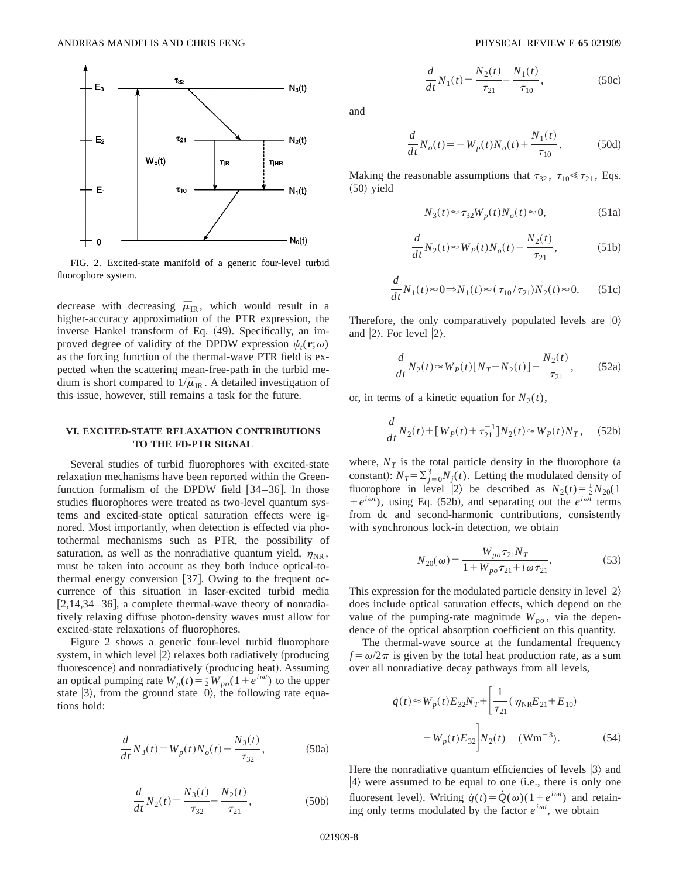

FIG. 2. Excited-state manifold of a generic four-level turbid fluorophore system.

decrease with decreasing  $\bar{\mu}_{IR}$ , which would result in a higher-accuracy approximation of the PTR expression, the inverse Hankel transform of Eq. (49). Specifically, an improved degree of validity of the DPDW expression  $\psi_t(\mathbf{r};\omega)$ as the forcing function of the thermal-wave PTR field is expected when the scattering mean-free-path in the turbid medium is short compared to  $1/\bar{\mu}_{IR}$ . A detailed investigation of this issue, however, still remains a task for the future.

## **VI. EXCITED-STATE RELAXATION CONTRIBUTIONS TO THE FD-PTR SIGNAL**

Several studies of turbid fluorophores with excited-state relaxation mechanisms have been reported within the Greenfunction formalism of the DPDW field  $[34-36]$ . In those studies fluorophores were treated as two-level quantum systems and excited-state optical saturation effects were ignored. Most importantly, when detection is effected via photothermal mechanisms such as PTR, the possibility of saturation, as well as the nonradiative quantum yield,  $\eta_{NR}$ , must be taken into account as they both induce optical-tothermal energy conversion  $[37]$ . Owing to the frequent occurrence of this situation in laser-excited turbid media  $[2,14,34-36]$ , a complete thermal-wave theory of nonradiatively relaxing diffuse photon-density waves must allow for excited-state relaxations of fluorophores.

Figure 2 shows a generic four-level turbid fluorophore system, in which level  $|2\rangle$  relaxes both radiatively (producing fluorescence) and nonradiatively (producing heat). Assuming an optical pumping rate  $W_p(t) = \frac{1}{2} W_{po}(1 + e^{i\omega t})$  to the upper state  $|3\rangle$ , from the ground state  $|0\rangle$ , the following rate equations hold:

$$
\frac{d}{dt}N_3(t) = W_p(t)N_o(t) - \frac{N_3(t)}{\tau_{32}},
$$
\n(50a)

$$
\frac{d}{dt}N_2(t) = \frac{N_3(t)}{\tau_{32}} - \frac{N_2(t)}{\tau_{21}},
$$
\n(50b)

$$
\frac{d}{dt}N_1(t) = \frac{N_2(t)}{\tau_{21}} - \frac{N_1(t)}{\tau_{10}},
$$
\n(50c)

and

$$
\frac{d}{dt}N_o(t) = -W_p(t)N_o(t) + \frac{N_1(t)}{\tau_{10}}.
$$
 (50d)

Making the reasonable assumptions that  $\tau_{32}$ ,  $\tau_{10} \ll \tau_{21}$ , Eqs.  $(50)$  yield

$$
N_3(t) \approx \tau_{32} W_p(t) N_o(t) \approx 0,
$$
\n(51a)

$$
\frac{d}{dt}N_2(t) \approx W_P(t)N_o(t) - \frac{N_2(t)}{\tau_{21}},
$$
\n(51b)

$$
\frac{d}{dt}N_1(t) \approx 0 \Rightarrow N_1(t) \approx (\tau_{10}/\tau_{21})N_2(t) \approx 0. \tag{51c}
$$

Therefore, the only comparatively populated levels are  $|0\rangle$ and  $|2\rangle$ . For level  $|2\rangle$ .

$$
\frac{d}{dt}N_2(t) \approx W_P(t)[N_T - N_2(t)] - \frac{N_2(t)}{\tau_{21}},
$$
 (52a)

or, in terms of a kinetic equation for  $N_2(t)$ ,

$$
\frac{d}{dt}N_2(t) + [W_P(t) + \tau_{21}^{-1}]N_2(t) \approx W_P(t)N_T, \quad (52b)
$$

where,  $N_T$  is the total particle density in the fluorophore (a constant):  $N_T = \sum_{j=0}^{3} N_j(t)$ . Letting the modulated density of fluorophore in level  $|2\rangle$  be described as  $N_2(t) = \frac{1}{2}N_{20}(1)$  $+e^{i\omega t}$ , using Eq. (52b), and separating out the  $e^{i\omega t}$  terms from dc and second-harmonic contributions, consistently with synchronous lock-in detection, we obtain

$$
N_{20}(\omega) = \frac{W_{po} \tau_{21} N_T}{1 + W_{po} \tau_{21} + i \omega \tau_{21}}.
$$
 (53)

This expression for the modulated particle density in level  $|2\rangle$ does include optical saturation effects, which depend on the value of the pumping-rate magnitude  $W_{po}$ , via the dependence of the optical absorption coefficient on this quantity.

The thermal-wave source at the fundamental frequency  $f = \omega/2\pi$  is given by the total heat production rate, as a sum over all nonradiative decay pathways from all levels,

$$
\dot{q}(t) \approx W_p(t) E_{32} N_T + \left[ \frac{1}{\tau_{21}} (\eta_{\text{NR}} E_{21} + E_{10}) - W_p(t) E_{32} \right] N_2(t) \quad (\text{Wm}^{-3}). \tag{54}
$$

Here the nonradiative quantum efficiencies of levels  $|3\rangle$  and  $|4\rangle$  were assumed to be equal to one (i.e., there is only one fluoresent level). Writing  $\dot{q}(t) = \dot{Q}(\omega)(1 + e^{i\omega t})$  and retaining only terms modulated by the factor  $e^{i\omega t}$ , we obtain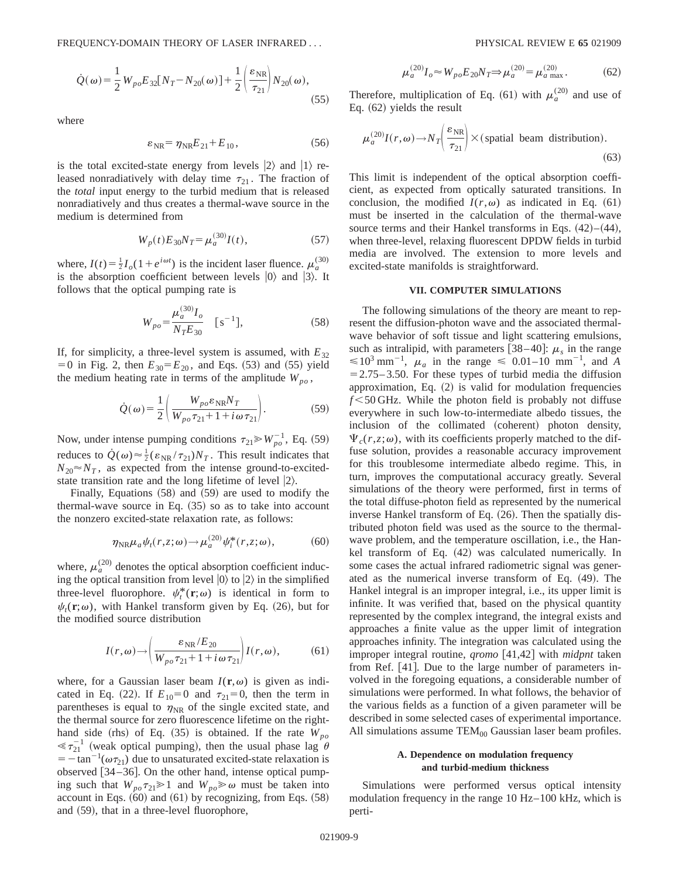$$
\dot{Q}(\omega) = \frac{1}{2} W_{po} E_{32} [N_T - N_{20}(\omega)] + \frac{1}{2} \left( \frac{\varepsilon_{\text{NR}}}{\tau_{21}} \right) N_{20}(\omega),\tag{55}
$$

where

$$
\varepsilon_{\rm NR} = \eta_{\rm NR} E_{21} + E_{10},\tag{56}
$$

is the total excited-state energy from levels  $|2\rangle$  and  $|1\rangle$  released nonradiatively with delay time  $\tau_{21}$ . The fraction of the *total* input energy to the turbid medium that is released nonradiatively and thus creates a thermal-wave source in the medium is determined from

$$
W_p(t)E_{30}N_T = \mu_a^{(30)}I(t),\tag{57}
$$

where,  $I(t) = \frac{1}{2}I_o(1+e^{i\omega t})$  is the incident laser fluence.  $\mu_a^{(30)}$ is the absorption coefficient between levels  $|0\rangle$  and  $|3\rangle$ . It follows that the optical pumping rate is

$$
W_{po} = \frac{\mu_a^{(30)} I_o}{N_T E_{30}} \quad [s^{-1}],
$$
 (58)

If, for simplicity, a three-level system is assumed, with  $E_{32}$  $=0$  in Fig. 2, then  $E_{30} = E_{20}$ , and Eqs. (53) and (55) yield the medium heating rate in terms of the amplitude  $W_{po}$ ,

$$
\dot{Q}(\omega) = \frac{1}{2} \left( \frac{W_{po} \varepsilon_{\text{NR}} N_T}{W_{po} \tau_{21} + 1 + i \omega \tau_{21}} \right). \tag{59}
$$

Now, under intense pumping conditions  $\tau_{21} \ge W_{po}^{-1}$ , Eq. (59) reduces to  $\dot{Q}(\omega) \approx \frac{1}{2} (\varepsilon_{NR}/\tau_{21}) N_T$ . This result indicates that  $N_{20} \approx N_T$ , as expected from the intense ground-to-excitedstate transition rate and the long lifetime of level  $|2\rangle$ .

Finally, Equations  $(58)$  and  $(59)$  are used to modify the thermal-wave source in Eq.  $(35)$  so as to take into account the nonzero excited-state relaxation rate, as follows:

$$
\eta_{\text{NR}}\mu_a\psi_t(r,z;\omega) \to \mu_a^{(20)}\psi_i^*(r,z;\omega),\tag{60}
$$

where,  $\mu_a^{(20)}$  denotes the optical absorption coefficient inducing the optical transition from level  $|0\rangle$  to  $|2\rangle$  in the simplified three-level fluorophore.  $\psi_t^*(\mathbf{r}; \omega)$  is identical in form to  $\psi_t(\mathbf{r}; \omega)$ , with Hankel transform given by Eq. (26), but for the modified source distribution

$$
I(r,\omega) \rightarrow \left(\frac{\varepsilon_{\rm NR}/E_{20}}{W_{po}\tau_{21} + 1 + i\omega\tau_{21}}\right) I(r,\omega),\tag{61}
$$

where, for a Gaussian laser beam  $I(\mathbf{r},\omega)$  is given as indicated in Eq. (22). If  $E_{10}=0$  and  $\tau_{21}=0$ , then the term in parentheses is equal to  $\eta_{\rm NR}$  of the single excited state, and the thermal source for zero fluorescence lifetime on the righthand side (rhs) of Eq.  $(35)$  is obtained. If the rate  $W_{po}$  $\ll \tau_{21}^{-1}$  (weak optical pumping), then the usual phase lag  $\theta$  $=$  - tan<sup>-1</sup>( $\omega \tau_{21}$ ) due to unsaturated excited-state relaxation is observed  $[34–36]$ . On the other hand, intense optical pumping such that  $W_{p\sigma}\tau_{21} \ge 1$  and  $W_{p\sigma} \ge \omega$  must be taken into account in Eqs.  $(60)$  and  $(61)$  by recognizing, from Eqs.  $(58)$ and  $(59)$ , that in a three-level fluorophore,

$$
\mu_a^{(20)} I_o \approx W_{po} E_{20} N_T \Rightarrow \mu_a^{(20)} = \mu_{a \text{ max}}^{(20)}.
$$
 (62)

Therefore, multiplication of Eq. (61) with  $\mu_a^{(20)}$  and use of Eq.  $(62)$  yields the result

$$
\mu_a^{(20)} I(r,\omega) \to N_T \left( \frac{\varepsilon_{\rm NR}}{\tau_{21}} \right) \times \text{(spatial beam distribution)}.
$$
\n(63)

This limit is independent of the optical absorption coefficient, as expected from optically saturated transitions. In conclusion, the modified  $I(r,\omega)$  as indicated in Eq. (61) must be inserted in the calculation of the thermal-wave source terms and their Hankel transforms in Eqs.  $(42)–(44)$ , when three-level, relaxing fluorescent DPDW fields in turbid media are involved. The extension to more levels and excited-state manifolds is straightforward.

#### **VII. COMPUTER SIMULATIONS**

The following simulations of the theory are meant to represent the diffusion-photon wave and the associated thermalwave behavior of soft tissue and light scattering emulsions, such as intralipid, with parameters  $[38-40]$ :  $\mu_s$  in the range  $\leq 10^3$  mm<sup>-1</sup>,  $\mu_a$  in the range  $\leq 0.01-10$  mm<sup>-1</sup>, and *A*  $= 2.75 - 3.50$ . For these types of turbid media the diffusion approximation, Eq.  $(2)$  is valid for modulation frequencies  $f$  < 50 GHz. While the photon field is probably not diffuse everywhere in such low-to-intermediate albedo tissues, the inclusion of the collimated (coherent) photon density,  $\Psi_c(r,z;\omega)$ , with its coefficients properly matched to the diffuse solution, provides a reasonable accuracy improvement for this troublesome intermediate albedo regime. This, in turn, improves the computational accuracy greatly. Several simulations of the theory were performed, first in terms of the total diffuse-photon field as represented by the numerical inverse Hankel transform of Eq.  $(26)$ . Then the spatially distributed photon field was used as the source to the thermalwave problem, and the temperature oscillation, i.e., the Hankel transform of Eq.  $(42)$  was calculated numerically. In some cases the actual infrared radiometric signal was generated as the numerical inverse transform of Eq.  $(49)$ . The Hankel integral is an improper integral, i.e., its upper limit is infinite. It was verified that, based on the physical quantity represented by the complex integrand, the integral exists and approaches a finite value as the upper limit of integration approaches infinity. The integration was calculated using the improper integral routine, *qromo* [41,42] with *midpnt* taken from Ref.  $[41]$ . Due to the large number of parameters involved in the foregoing equations, a considerable number of simulations were performed. In what follows, the behavior of the various fields as a function of a given parameter will be described in some selected cases of experimental importance. All simulations assume  $TEM_{00}$  Gaussian laser beam profiles.

### **A. Dependence on modulation frequency and turbid-medium thickness**

Simulations were performed versus optical intensity modulation frequency in the range 10 Hz–100 kHz, which is perti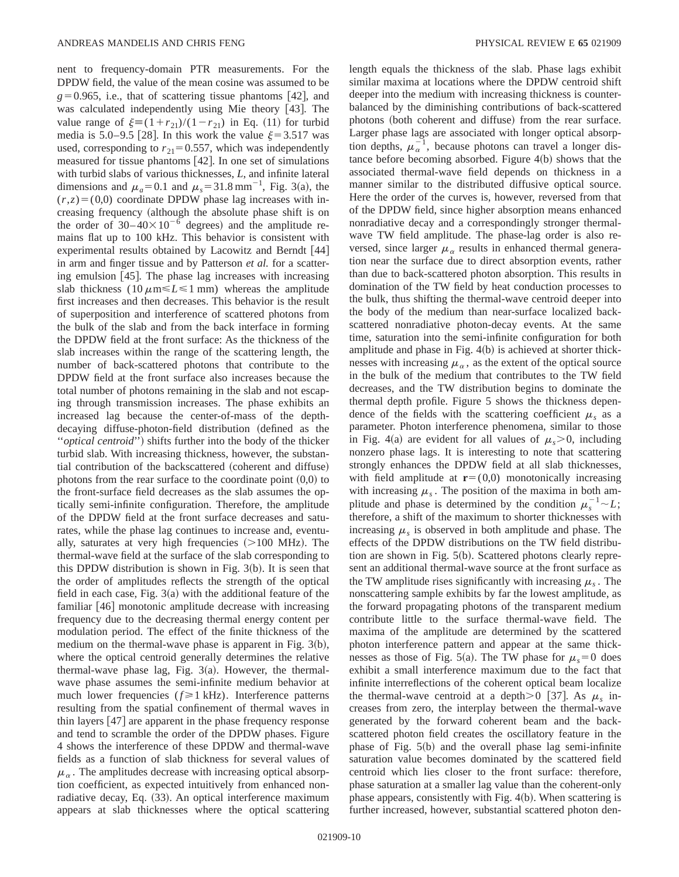nent to frequency-domain PTR measurements. For the DPDW field, the value of the mean cosine was assumed to be  $g=0.965$ , i.e., that of scattering tissue phantoms [42], and was calculated independently using Mie theory [43]. The value range of  $\xi \equiv (1 + r_{21})/(1 - r_{21})$  in Eq. (11) for turbid media is 5.0–9.5 [28]. In this work the value  $\xi$ =3.517 was used, corresponding to  $r_{21}$ =0.557, which was independently measured for tissue phantoms  $[42]$ . In one set of simulations with turbid slabs of various thicknesses, *L*, and infinite lateral dimensions and  $\mu_a$ =0.1 and  $\mu_s$ =31.8 mm<sup>-1</sup>, Fig. 3(a), the  $(r,z)=(0,0)$  coordinate DPDW phase lag increases with increasing frequency (although the absolute phase shift is on the order of  $30-40\times10^{-6}$  degrees) and the amplitude remains flat up to 100 kHz. This behavior is consistent with experimental results obtained by Lacowitz and Berndt  $[44]$ in arm and finger tissue and by Patterson *et al.* for a scattering emulsion  $[45]$ . The phase lag increases with increasing slab thickness  $(10 \mu m \le L \le 1 mm)$  whereas the amplitude first increases and then decreases. This behavior is the result of superposition and interference of scattered photons from the bulk of the slab and from the back interface in forming the DPDW field at the front surface: As the thickness of the slab increases within the range of the scattering length, the number of back-scattered photons that contribute to the DPDW field at the front surface also increases because the total number of photons remaining in the slab and not escaping through transmission increases. The phase exhibits an increased lag because the center-of-mass of the depthdecaying diffuse-photon-field distribution (defined as the "*optical centroid*") shifts further into the body of the thicker turbid slab. With increasing thickness, however, the substantial contribution of the backscattered (coherent and diffuse) photons from the rear surface to the coordinate point  $(0,0)$  to the front-surface field decreases as the slab assumes the optically semi-infinite configuration. Therefore, the amplitude of the DPDW field at the front surface decreases and saturates, while the phase lag continues to increase and, eventually, saturates at very high frequencies  $(>100$  MHz). The thermal-wave field at the surface of the slab corresponding to this DPDW distribution is shown in Fig.  $3(b)$ . It is seen that the order of amplitudes reflects the strength of the optical field in each case, Fig.  $3(a)$  with the additional feature of the familiar  $|46|$  monotonic amplitude decrease with increasing frequency due to the decreasing thermal energy content per modulation period. The effect of the finite thickness of the medium on the thermal-wave phase is apparent in Fig.  $3(b)$ , where the optical centroid generally determines the relative thermal-wave phase lag, Fig.  $3(a)$ . However, the thermalwave phase assumes the semi-infinite medium behavior at much lower frequencies  $(f \ge 1$  kHz). Interference patterns resulting from the spatial confinement of thermal waves in thin layers  $|47|$  are apparent in the phase frequency response and tend to scramble the order of the DPDW phases. Figure 4 shows the interference of these DPDW and thermal-wave fields as a function of slab thickness for several values of  $\mu_{\alpha}$ . The amplitudes decrease with increasing optical absorption coefficient, as expected intuitively from enhanced nonradiative decay, Eq.  $(33)$ . An optical interference maximum appears at slab thicknesses where the optical scattering length equals the thickness of the slab. Phase lags exhibit similar maxima at locations where the DPDW centroid shift deeper into the medium with increasing thickness is counterbalanced by the diminishing contributions of back-scattered photons (both coherent and diffuse) from the rear surface. Larger phase lags are associated with longer optical absorption depths,  $\mu_{\alpha}^{-1}$ , because photons can travel a longer distance before becoming absorbed. Figure  $4(b)$  shows that the associated thermal-wave field depends on thickness in a manner similar to the distributed diffusive optical source. Here the order of the curves is, however, reversed from that of the DPDW field, since higher absorption means enhanced nonradiative decay and a correspondingly stronger thermalwave TW field amplitude. The phase-lag order is also reversed, since larger  $\mu_{\alpha}$  results in enhanced thermal generation near the surface due to direct absorption events, rather than due to back-scattered photon absorption. This results in domination of the TW field by heat conduction processes to the bulk, thus shifting the thermal-wave centroid deeper into the body of the medium than near-surface localized backscattered nonradiative photon-decay events. At the same time, saturation into the semi-infinite configuration for both amplitude and phase in Fig.  $4(b)$  is achieved at shorter thicknesses with increasing  $\mu_{\alpha}$ , as the extent of the optical source in the bulk of the medium that contributes to the TW field decreases, and the TW distribution begins to dominate the thermal depth profile. Figure 5 shows the thickness dependence of the fields with the scattering coefficient  $\mu_s$  as a parameter. Photon interference phenomena, similar to those in Fig. 4(a) are evident for all values of  $\mu$ <sub>s</sub> $> 0$ , including nonzero phase lags. It is interesting to note that scattering strongly enhances the DPDW field at all slab thicknesses, with field amplitude at  $\mathbf{r}=(0,0)$  monotonically increasing with increasing  $\mu_s$ . The position of the maxima in both amplitude and phase is determined by the condition  $\mu_s^{-1} \sim L$ ; therefore, a shift of the maximum to shorter thicknesses with increasing  $\mu_s$  is observed in both amplitude and phase. The effects of the DPDW distributions on the TW field distribution are shown in Fig.  $5(b)$ . Scattered photons clearly represent an additional thermal-wave source at the front surface as the TW amplitude rises significantly with increasing  $\mu_s$ . The nonscattering sample exhibits by far the lowest amplitude, as the forward propagating photons of the transparent medium contribute little to the surface thermal-wave field. The maxima of the amplitude are determined by the scattered photon interference pattern and appear at the same thicknesses as those of Fig. 5(a). The TW phase for  $\mu_s = 0$  does exhibit a small interference maximum due to the fact that infinite interreflections of the coherent optical beam localize the thermal-wave centroid at a depth $> 0$  [37]. As  $\mu_s$  increases from zero, the interplay between the thermal-wave generated by the forward coherent beam and the backscattered photon field creates the oscillatory feature in the phase of Fig.  $5(b)$  and the overall phase lag semi-infinite saturation value becomes dominated by the scattered field centroid which lies closer to the front surface: therefore, phase saturation at a smaller lag value than the coherent-only phase appears, consistently with Fig.  $4(b)$ . When scattering is further increased, however, substantial scattered photon den-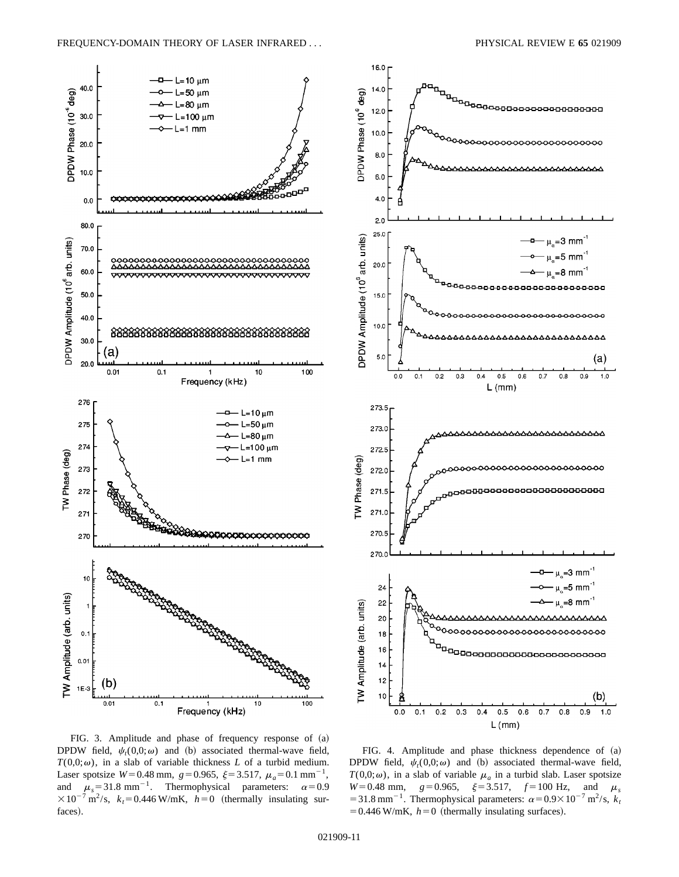(a)

 $(b)$ 

 $1.0$ 

 $1.0$ 



FIG. 3. Amplitude and phase of frequency response of  $(a)$ DPDW field,  $\psi_t(0,0;\omega)$  and (b) associated thermal-wave field,  $T(0,0;\omega)$ , in a slab of variable thickness *L* of a turbid medium. Laser spotsize  $W=0.48$  mm,  $g=0.965$ ,  $\xi=3.517$ ,  $\mu_a=0.1$  mm<sup>-1</sup>, and  $\mu_s$ =31.8 mm<sup>-1</sup>. Thermophysical parameters:  $\alpha$ =0.9  $\times 10^{-7}$  m<sup>2</sup>/s,  $k_t$ =0.446 W/mK,  $h=0$  (thermally insulating surfaces).

FIG. 4. Amplitude and phase thickness dependence of  $(a)$ DPDW field,  $\psi_t(0,0;\omega)$  and (b) associated thermal-wave field,  $T(0,0;\omega)$ , in a slab of variable  $\mu_a$  in a turbid slab. Laser spotsize  $W=0.48$  mm,  $g=0.965$ ,  $\xi=3.517$ ,  $f=100$  Hz, and  $\mu_s$ = 31.8 mm<sup>-1</sup>. Thermophysical parameters:  $\alpha$ = 0.9×10<sup>-7</sup> m<sup>2</sup>/s,  $k_t$  $=0.446$  W/mK,  $h=0$  (thermally insulating surfaces).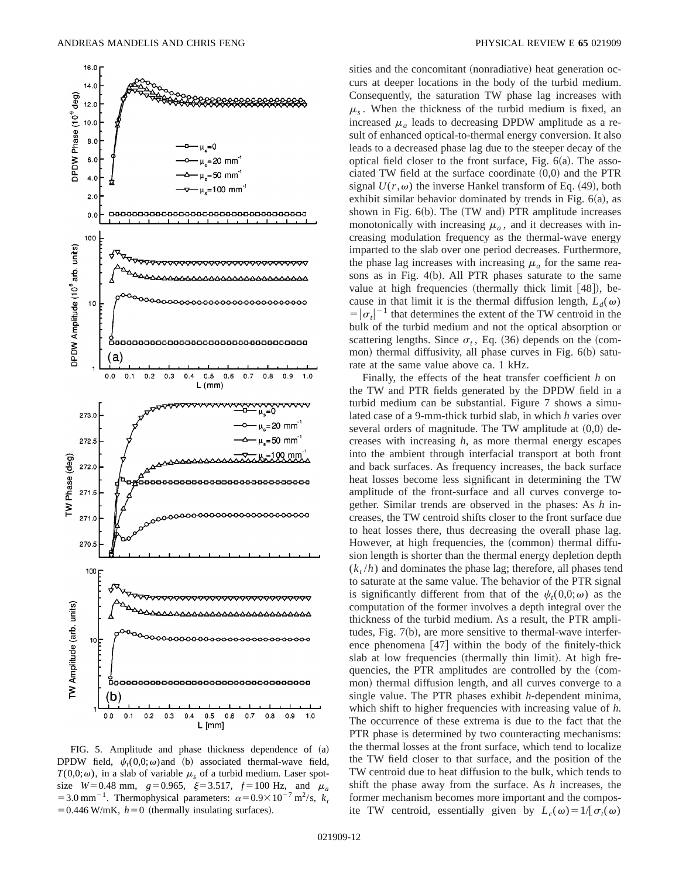

FIG. 5. Amplitude and phase thickness dependence of (a) DPDW field,  $\psi_t(0,0;\omega)$  and (b) associated thermal-wave field,  $T(0,0;\omega)$ , in a slab of variable  $\mu<sub>s</sub>$  of a turbid medium. Laser spotsize *W*=0.48 mm,  $g=0.965$ ,  $\xi=3.517$ ,  $f=100$  Hz, and  $\mu_a$  $=$  3.0 mm<sup>-1</sup>. Thermophysical parameters:  $\alpha$ = 0.9 $\times$  10<sup>-7</sup> m<sup>2</sup>/s,  $k_t$  $=0.446$  W/mK,  $h=0$  (thermally insulating surfaces).

sities and the concomitant (nonradiative) heat generation occurs at deeper locations in the body of the turbid medium. Consequently, the saturation TW phase lag increases with  $\mu_s$ . When the thickness of the turbid medium is fixed, an increased  $\mu_a$  leads to decreasing DPDW amplitude as a result of enhanced optical-to-thermal energy conversion. It also leads to a decreased phase lag due to the steeper decay of the optical field closer to the front surface, Fig.  $6(a)$ . The associated TW field at the surface coordinate  $(0,0)$  and the PTR signal  $U(r, \omega)$  the inverse Hankel transform of Eq. (49), both exhibit similar behavior dominated by trends in Fig.  $6(a)$ , as shown in Fig.  $6(b)$ . The  $(TW$  and) PTR amplitude increases monotonically with increasing  $\mu_a$ , and it decreases with increasing modulation frequency as the thermal-wave energy imparted to the slab over one period decreases. Furthermore, the phase lag increases with increasing  $\mu_a$  for the same reasons as in Fig.  $4(b)$ . All PTR phases saturate to the same value at high frequencies (thermally thick limit  $[48]$ ), because in that limit it is the thermal diffusion length,  $L_d(\omega)$  $= |\sigma_t|^{-1}$  that determines the extent of the TW centroid in the bulk of the turbid medium and not the optical absorption or scattering lengths. Since  $\sigma_t$ , Eq. (36) depends on the (common) thermal diffusivity, all phase curves in Fig.  $6(b)$  saturate at the same value above ca. 1 kHz.

Finally, the effects of the heat transfer coefficient *h* on the TW and PTR fields generated by the DPDW field in a turbid medium can be substantial. Figure 7 shows a simulated case of a 9-mm-thick turbid slab, in which *h* varies over several orders of magnitude. The TW amplitude at  $(0,0)$  decreases with increasing *h*, as more thermal energy escapes into the ambient through interfacial transport at both front and back surfaces. As frequency increases, the back surface heat losses become less significant in determining the TW amplitude of the front-surface and all curves converge together. Similar trends are observed in the phases: As *h* increases, the TW centroid shifts closer to the front surface due to heat losses there, thus decreasing the overall phase lag. However, at high frequencies, the (common) thermal diffusion length is shorter than the thermal energy depletion depth  $(k_t/h)$  and dominates the phase lag; therefore, all phases tend to saturate at the same value. The behavior of the PTR signal is significantly different from that of the  $\psi_t(0,0;\omega)$  as the computation of the former involves a depth integral over the thickness of the turbid medium. As a result, the PTR amplitudes, Fig.  $7(b)$ , are more sensitive to thermal-wave interference phenomena  $[47]$  within the body of the finitely-thick slab at low frequencies (thermally thin limit). At high frequencies, the PTR amplitudes are controlled by the (common) thermal diffusion length, and all curves converge to a single value. The PTR phases exhibit *h*-dependent minima, which shift to higher frequencies with increasing value of *h*. The occurrence of these extrema is due to the fact that the PTR phase is determined by two counteracting mechanisms: the thermal losses at the front surface, which tend to localize the TW field closer to that surface, and the position of the TW centroid due to heat diffusion to the bulk, which tends to shift the phase away from the surface. As *h* increases, the former mechanism becomes more important and the composite TW centroid, essentially given by  $L_c(\omega) = 1/\lceil \sigma_t(\omega) \rceil$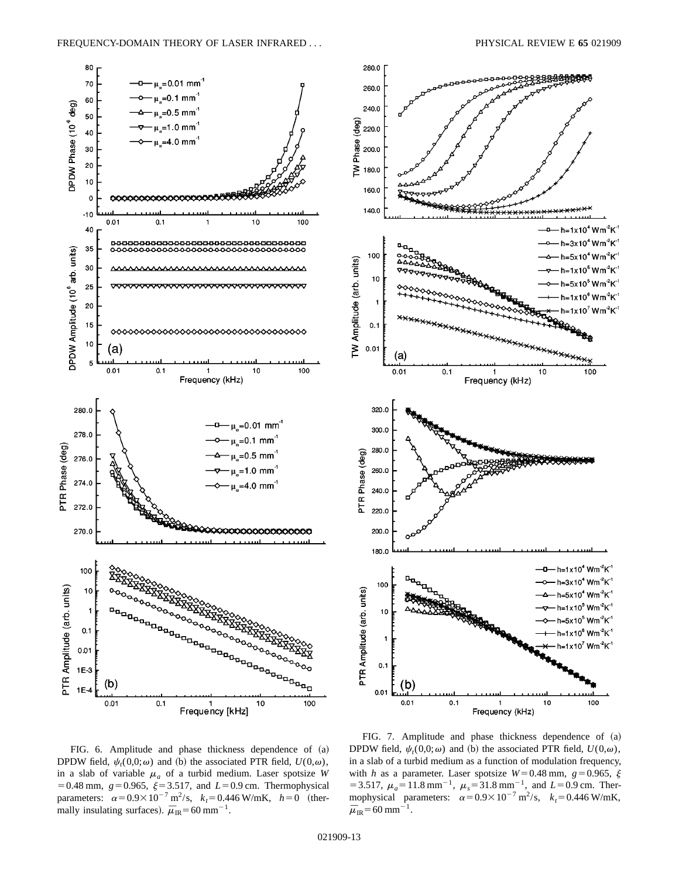



FIG. 6. Amplitude and phase thickness dependence of (a) DPDW field,  $\psi_t(0,0;\omega)$  and (b) the associated PTR field,  $U(0,\omega)$ , in a slab of variable  $\mu_a$  of a turbid medium. Laser spotsize *W*  $= 0.48$  mm,  $g = 0.965$ ,  $\xi = 3.517$ , and  $L = 0.9$  cm. Thermophysical parameters:  $\alpha = 0.9 \times 10^{-7} \text{ m}^2/\text{s}$ ,  $k_t = 0.446 \text{ W/mK}$ ,  $h = 0$  (thermally insulating surfaces).  $\bar{\mu}_{IR}$ =60 mm<sup>-1</sup>.

FIG. 7. Amplitude and phase thickness dependence of  $(a)$ DPDW field,  $\psi_t(0,0;\omega)$  and (b) the associated PTR field,  $U(0,\omega)$ , in a slab of a turbid medium as a function of modulation frequency, with *h* as a parameter. Laser spotsize  $W=0.48$  mm,  $g=0.965$ ,  $\xi$ = 3.517,  $\mu_a$ = 11.8 mm<sup>-1</sup>,  $\mu_s$ = 31.8 mm<sup>-1</sup>, and *L* = 0.9 cm. Thermophysical parameters:  $\alpha = 0.9 \times 10^{-7} \text{ m}^2/\text{s}$ ,  $k_t = 0.446 \text{ W/mK}$ ,  $\bar{\mu}_{IR}$ =60 mm<sup>-1</sup>.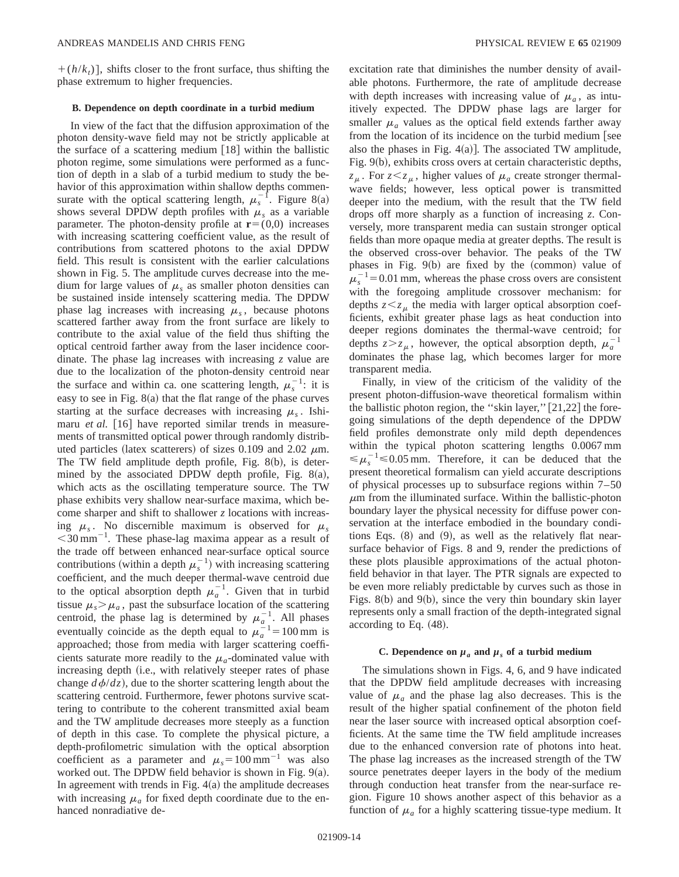$+(h/k<sub>t</sub>)$ , shifts closer to the front surface, thus shifting the phase extremum to higher frequencies.

#### **B. Dependence on depth coordinate in a turbid medium**

In view of the fact that the diffusion approximation of the photon density-wave field may not be strictly applicable at the surface of a scattering medium  $[18]$  within the ballistic photon regime, some simulations were performed as a function of depth in a slab of a turbid medium to study the behavior of this approximation within shallow depths commensurate with the optical scattering length,  $\mu_s^{-1}$ . Figure 8(a) shows several DPDW depth profiles with  $\mu_s$  as a variable parameter. The photon-density profile at  $\mathbf{r}=(0,0)$  increases with increasing scattering coefficient value, as the result of contributions from scattered photons to the axial DPDW field. This result is consistent with the earlier calculations shown in Fig. 5. The amplitude curves decrease into the medium for large values of  $\mu_s$  as smaller photon densities can be sustained inside intensely scattering media. The DPDW phase lag increases with increasing  $\mu_s$ , because photons scattered farther away from the front surface are likely to contribute to the axial value of the field thus shifting the optical centroid farther away from the laser incidence coordinate. The phase lag increases with increasing *z* value are due to the localization of the photon-density centroid near the surface and within ca. one scattering length,  $\mu_s^{-1}$ : it is easy to see in Fig.  $8(a)$  that the flat range of the phase curves starting at the surface decreases with increasing  $\mu_s$ . Ishimaru *et al.* [16] have reported similar trends in measurements of transmitted optical power through randomly distributed particles (latex scatterers) of sizes 0.109 and 2.02  $\mu$ m. The TW field amplitude depth profile, Fig.  $8(b)$ , is determined by the associated DPDW depth profile, Fig.  $8(a)$ , which acts as the oscillating temperature source. The TW phase exhibits very shallow near-surface maxima, which become sharper and shift to shallower *z* locations with increasing  $\mu_s$ . No discernible maximum is observed for  $\mu_s$  $<$ 30 mm<sup>-1</sup>. These phase-lag maxima appear as a result of the trade off between enhanced near-surface optical source contributions (within a depth  $\mu_s^{-1}$ ) with increasing scattering coefficient, and the much deeper thermal-wave centroid due to the optical absorption depth  $\mu_a^{-1}$ . Given that in turbid tissue  $\mu_s > \mu_a$ , past the subsurface location of the scattering centroid, the phase lag is determined by  $\mu_a^{-1}$ . All phases eventually coincide as the depth equal to  $\mu_a^{-1} = 100 \text{ mm}$  is approached; those from media with larger scattering coefficients saturate more readily to the  $\mu_a$ -dominated value with increasing depth (i.e., with relatively steeper rates of phase change  $d\phi/dz$ , due to the shorter scattering length about the scattering centroid. Furthermore, fewer photons survive scattering to contribute to the coherent transmitted axial beam and the TW amplitude decreases more steeply as a function of depth in this case. To complete the physical picture, a depth-profilometric simulation with the optical absorption coefficient as a parameter and  $\mu_s = 100 \text{ mm}^{-1}$  was also worked out. The DPDW field behavior is shown in Fig.  $9(a)$ . In agreement with trends in Fig.  $4(a)$  the amplitude decreases with increasing  $\mu_a$  for fixed depth coordinate due to the enhanced nonradiative deexcitation rate that diminishes the number density of available photons. Furthermore, the rate of amplitude decrease with depth increases with increasing value of  $\mu_a$ , as intuitively expected. The DPDW phase lags are larger for smaller  $\mu_a$  values as the optical field extends farther away from the location of its incidence on the turbid medium [see also the phases in Fig.  $4(a)$ ]. The associated TW amplitude, Fig.  $9(b)$ , exhibits cross overs at certain characteristic depths,  $z_{\mu}$ . For  $z \leq z_{\mu}$ , higher values of  $\mu_a$  create stronger thermalwave fields; however, less optical power is transmitted deeper into the medium, with the result that the TW field drops off more sharply as a function of increasing *z*. Conversely, more transparent media can sustain stronger optical fields than more opaque media at greater depths. The result is the observed cross-over behavior. The peaks of the TW phases in Fig.  $9(b)$  are fixed by the (common) value of  $\mu_s^{-1}$  = 0.01 mm, whereas the phase cross overs are consistent with the foregoing amplitude crossover mechanism: for depths  $z \leq z_{\mu}$  the media with larger optical absorption coefficients, exhibit greater phase lags as heat conduction into deeper regions dominates the thermal-wave centroid; for depths  $z > z_{\mu}$ , however, the optical absorption depth,  $\mu_a^{-1}$ dominates the phase lag, which becomes larger for more transparent media.

Finally, in view of the criticism of the validity of the present photon-diffusion-wave theoretical formalism within the ballistic photon region, the "skin layer,"  $[21,22]$  the foregoing simulations of the depth dependence of the DPDW field profiles demonstrate only mild depth dependences within the typical photon scattering lengths 0.0067 mm  $\leq \mu_s^{-1} \leq 0.05$  mm. Therefore, it can be deduced that the present theoretical formalism can yield accurate descriptions of physical processes up to subsurface regions within 7–50  $\mu$ m from the illuminated surface. Within the ballistic-photon boundary layer the physical necessity for diffuse power conservation at the interface embodied in the boundary conditions Eqs.  $(8)$  and  $(9)$ , as well as the relatively flat nearsurface behavior of Figs. 8 and 9, render the predictions of these plots plausible approximations of the actual photonfield behavior in that layer. The PTR signals are expected to be even more reliably predictable by curves such as those in Figs.  $8(b)$  and  $9(b)$ , since the very thin boundary skin layer represents only a small fraction of the depth-integrated signal according to Eq.  $(48)$ .

#### C. Dependence on  $\mu_a$  and  $\mu_s$  of a turbid medium

The simulations shown in Figs. 4, 6, and 9 have indicated that the DPDW field amplitude decreases with increasing value of  $\mu_a$  and the phase lag also decreases. This is the result of the higher spatial confinement of the photon field near the laser source with increased optical absorption coefficients. At the same time the TW field amplitude increases due to the enhanced conversion rate of photons into heat. The phase lag increases as the increased strength of the TW source penetrates deeper layers in the body of the medium through conduction heat transfer from the near-surface region. Figure 10 shows another aspect of this behavior as a function of  $\mu_a$  for a highly scattering tissue-type medium. It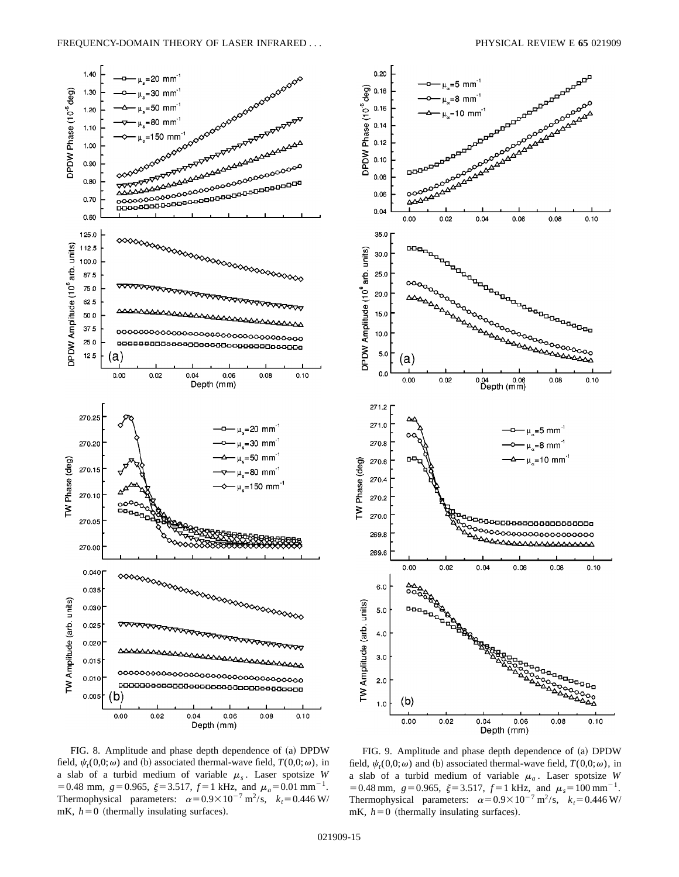



FIG. 8. Amplitude and phase depth dependence of  $(a)$  DPDW field,  $\psi_t(0,0;\omega)$  and (b) associated thermal-wave field,  $T(0,0;\omega)$ , in a slab of a turbid medium of variable  $\mu_s$ . Laser spotsize *W*  $= 0.48$  mm,  $g = 0.965$ ,  $\xi = 3.517$ ,  $f = 1$  kHz, and  $\mu_a = 0.01$  mm<sup>-1</sup>. Thermophysical parameters:  $\alpha = 0.9 \times 10^{-7} \text{ m}^2/\text{s}$ ,  $k_t = 0.446 \text{ W}/$ mK,  $h=0$  (thermally insulating surfaces).

FIG. 9. Amplitude and phase depth dependence of (a) DPDW field,  $\psi_t(0,0;\omega)$  and (b) associated thermal-wave field,  $T(0,0;\omega)$ , in a slab of a turbid medium of variable  $\mu_a$ . Laser spotsize *W*  $= 0.48$  mm,  $g = 0.965$ ,  $\xi = 3.517$ ,  $f = 1$  kHz, and  $\mu_s = 100$  mm<sup>-1</sup>. Thermophysical parameters:  $\alpha = 0.9 \times 10^{-7} \text{ m}^2/\text{s}$ ,  $k_t = 0.446 \text{ W}/$ mK,  $h=0$  (thermally insulating surfaces).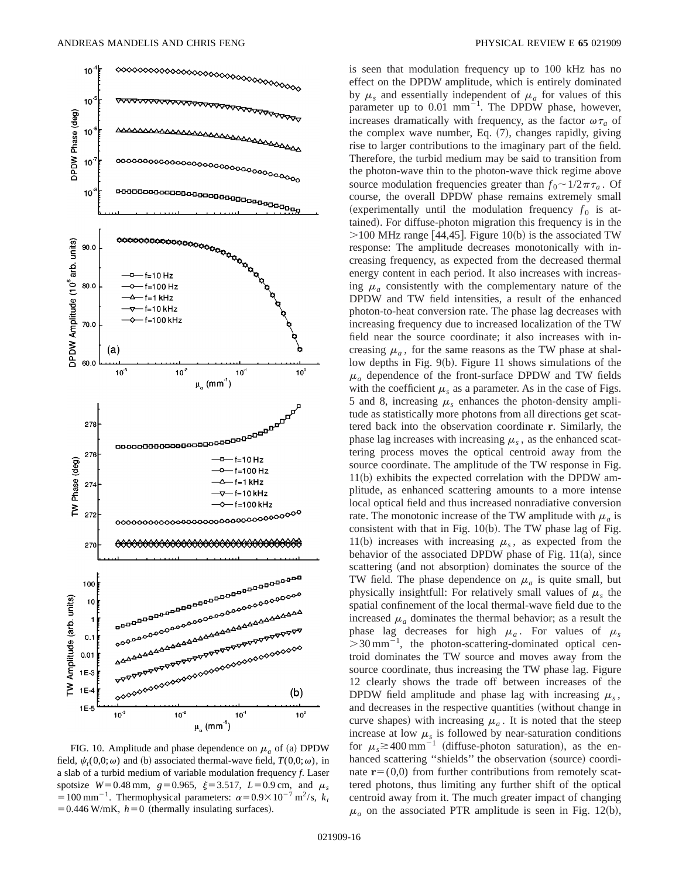

FIG. 10. Amplitude and phase dependence on  $\mu_a$  of (a) DPDW field,  $\psi_t(0,0;\omega)$  and (b) associated thermal-wave field,  $T(0,0;\omega)$ , in a slab of a turbid medium of variable modulation frequency *f*. Laser spotsize  $W=0.48$  mm,  $g=0.965$ ,  $\xi=3.517$ ,  $L=0.9$  cm, and  $\mu_s$  $=100$  mm<sup>-1</sup>. Thermophysical parameters:  $\alpha = 0.9 \times 10^{-7}$  m<sup>2</sup>/s,  $k_t$  $=0.446$  W/mK,  $h=0$  (thermally insulating surfaces).

is seen that modulation frequency up to 100 kHz has no effect on the DPDW amplitude, which is entirely dominated by  $\mu_s$  and essentially independent of  $\mu_a$  for values of this parameter up to  $0.01$  mm<sup>-1</sup>. The DPDW phase, however, increases dramatically with frequency, as the factor  $\omega \tau_a$  of the complex wave number, Eq.  $(7)$ , changes rapidly, giving rise to larger contributions to the imaginary part of the field. Therefore, the turbid medium may be said to transition from the photon-wave thin to the photon-wave thick regime above source modulation frequencies greater than  $f_0 \sim 1/2\pi \tau_a$ . Of course, the overall DPDW phase remains extremely small (experimentally until the modulation frequency  $f_0$  is attained). For diffuse-photon migration this frequency is in the  $>100$  MHz range [44,45]. Figure 10(b) is the associated TW response: The amplitude decreases monotonically with increasing frequency, as expected from the decreased thermal energy content in each period. It also increases with increasing  $\mu_a$  consistently with the complementary nature of the DPDW and TW field intensities, a result of the enhanced photon-to-heat conversion rate. The phase lag decreases with increasing frequency due to increased localization of the TW field near the source coordinate; it also increases with increasing  $\mu_a$ , for the same reasons as the TW phase at shallow depths in Fig.  $9(b)$ . Figure 11 shows simulations of the  $\mu_a$  dependence of the front-surface DPDW and TW fields with the coefficient  $\mu_s$  as a parameter. As in the case of Figs. 5 and 8, increasing  $\mu_s$  enhances the photon-density amplitude as statistically more photons from all directions get scattered back into the observation coordinate **r**. Similarly, the phase lag increases with increasing  $\mu_s$ , as the enhanced scattering process moves the optical centroid away from the source coordinate. The amplitude of the TW response in Fig.  $11(b)$  exhibits the expected correlation with the DPDW amplitude, as enhanced scattering amounts to a more intense local optical field and thus increased nonradiative conversion rate. The monotonic increase of the TW amplitude with  $\mu_a$  is consistent with that in Fig.  $10(b)$ . The TW phase lag of Fig. 11(b) increases with increasing  $\mu_s$ , as expected from the behavior of the associated DPDW phase of Fig.  $11(a)$ , since scattering (and not absorption) dominates the source of the TW field. The phase dependence on  $\mu_a$  is quite small, but physically insightfull: For relatively small values of  $\mu_s$  the spatial confinement of the local thermal-wave field due to the increased  $\mu_a$  dominates the thermal behavior; as a result the phase lag decreases for high  $\mu_a$ . For values of  $\mu_s$  $>$ 30 mm<sup>-1</sup>, the photon-scattering-dominated optical centroid dominates the TW source and moves away from the source coordinate, thus increasing the TW phase lag. Figure 12 clearly shows the trade off between increases of the DPDW field amplitude and phase lag with increasing  $\mu_s$ , and decreases in the respective quantities (without change in curve shapes) with increasing  $\mu_a$ . It is noted that the steep increase at low  $\mu_s$  is followed by near-saturation conditions for  $\mu_s \ge 400$  mm<sup>-1</sup> (diffuse-photon saturation), as the enhanced scattering "shields" the observation (source) coordinate  $\mathbf{r}=(0,0)$  from further contributions from remotely scattered photons, thus limiting any further shift of the optical centroid away from it. The much greater impact of changing  $\mu_a$  on the associated PTR amplitude is seen in Fig. 12(b),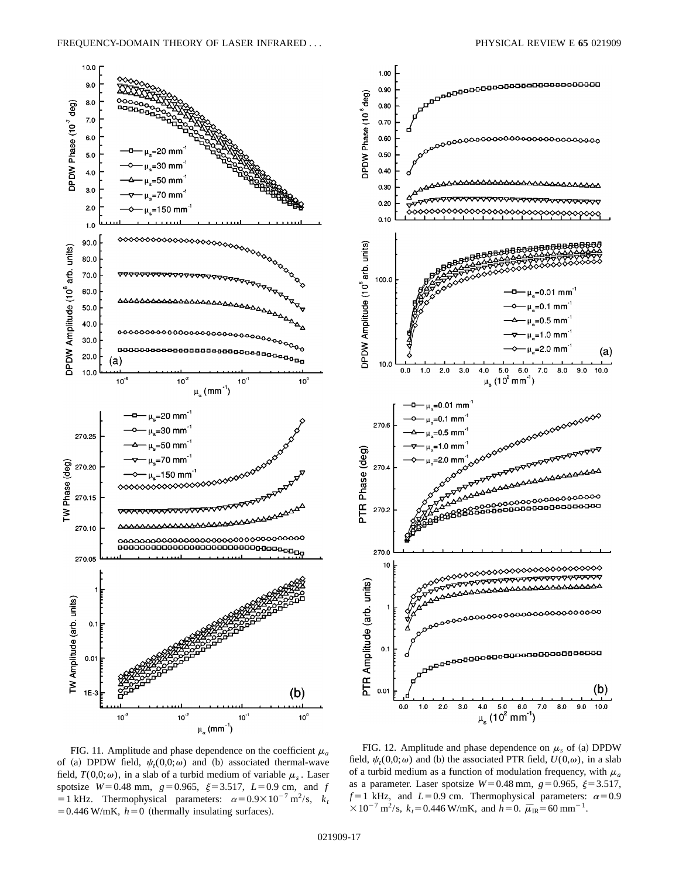



FIG. 11. Amplitude and phase dependence on the coefficient  $\mu_a$ of (a) DPDW field,  $\psi_t(0,0;\omega)$  and (b) associated thermal-wave field,  $T(0,0;\omega)$ , in a slab of a turbid medium of variable  $\mu_s$ . Laser spotsize  $W=0.48$  mm,  $g=0.965$ ,  $\xi=3.517$ ,  $L=0.9$  cm, and *f* = 1 kHz. Thermophysical parameters:  $\alpha = 0.9 \times 10^{-7}$  m<sup>2</sup>/s,  $k_t$  $=0.446$  W/mK,  $h=0$  (thermally insulating surfaces).

FIG. 12. Amplitude and phase dependence on  $\mu_s$  of (a) DPDW field,  $\psi_t(0,0;\omega)$  and (b) the associated PTR field,  $U(0,\omega)$ , in a slab of a turbid medium as a function of modulation frequency, with  $\mu_a$ as a parameter. Laser spotsize  $W=0.48$  mm,  $g=0.965$ ,  $\xi=3.517$ ,  $f=1$  kHz, and  $L=0.9$  cm. Thermophysical parameters:  $\alpha=0.9$  $\times 10^{-7}$  m<sup>2</sup>/s,  $k_t$ =0.446 W/mK, and  $h$ =0.  $\bar{\mu}_{IR}$ =60 mm<sup>-1</sup>.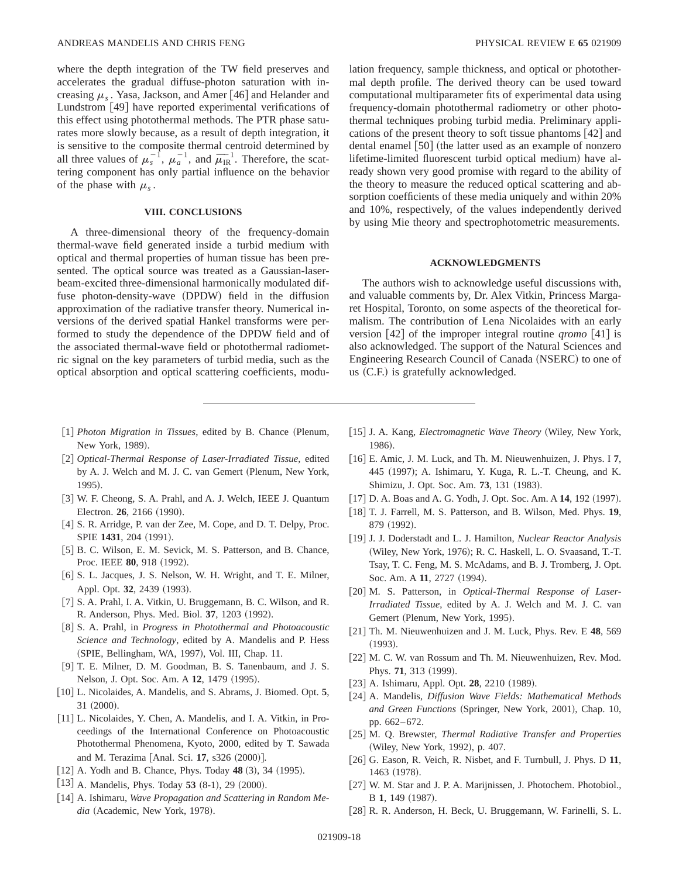where the depth integration of the TW field preserves and accelerates the gradual diffuse-photon saturation with increasing  $\mu_s$ . Yasa, Jackson, and Amer [46] and Helander and Lundstrom [49] have reported experimental verifications of this effect using photothermal methods. The PTR phase saturates more slowly because, as a result of depth integration, it is sensitive to the composite thermal centroid determined by all three values of  $\mu_s^{-1}$ ,  $\mu_a^{-1}$ , and  $\bar{\mu}_{IR}^{-1}$ . Therefore, the scattering component has only partial influence on the behavior of the phase with  $\mu_s$ .

#### **VIII. CONCLUSIONS**

A three-dimensional theory of the frequency-domain thermal-wave field generated inside a turbid medium with optical and thermal properties of human tissue has been presented. The optical source was treated as a Gaussian-laserbeam-excited three-dimensional harmonically modulated diffuse photon-density-wave (DPDW) field in the diffusion approximation of the radiative transfer theory. Numerical inversions of the derived spatial Hankel transforms were performed to study the dependence of the DPDW field and of the associated thermal-wave field or photothermal radiometric signal on the key parameters of turbid media, such as the optical absorption and optical scattering coefficients, modulation frequency, sample thickness, and optical or photothermal depth profile. The derived theory can be used toward computational multiparameter fits of experimental data using frequency-domain photothermal radiometry or other photothermal techniques probing turbid media. Preliminary applications of the present theory to soft tissue phantoms  $[42]$  and dental enamel  $[50]$  (the latter used as an example of nonzero lifetime-limited fluorescent turbid optical medium) have already shown very good promise with regard to the ability of the theory to measure the reduced optical scattering and absorption coefficients of these media uniquely and within 20% and 10%, respectively, of the values independently derived by using Mie theory and spectrophotometric measurements.

#### **ACKNOWLEDGMENTS**

The authors wish to acknowledge useful discussions with, and valuable comments by, Dr. Alex Vitkin, Princess Margaret Hospital, Toronto, on some aspects of the theoretical formalism. The contribution of Lena Nicolaides with an early version  $[42]$  of the improper integral routine *qromo*  $[41]$  is also acknowledged. The support of the Natural Sciences and Engineering Research Council of Canada (NSERC) to one of us  $(C.F.)$  is gratefully acknowledged.

- [1] *Photon Migration in Tissues*, edited by B. Chance (Plenum, New York, 1989).
- [2] *Optical-Thermal Response of Laser-Irradiated Tissue*, edited by A. J. Welch and M. J. C. van Gemert (Plenum, New York, 1995).
- [3] W. F. Cheong, S. A. Prahl, and A. J. Welch, IEEE J. Quantum Electron. **26**, 2166 (1990).
- [4] S. R. Arridge, P. van der Zee, M. Cope, and D. T. Delpy, Proc. SPIE 1431, 204 (1991).
- [5] B. C. Wilson, E. M. Sevick, M. S. Patterson, and B. Chance, Proc. IEEE **80**, 918 (1992).
- [6] S. L. Jacques, J. S. Nelson, W. H. Wright, and T. E. Milner, Appl. Opt. 32, 2439 (1993).
- [7] S. A. Prahl, I. A. Vitkin, U. Bruggemann, B. C. Wilson, and R. R. Anderson, Phys. Med. Biol. 37, 1203 (1992).
- [8] S. A. Prahl, in *Progress in Photothermal and Photoacoustic Science and Technology*, edited by A. Mandelis and P. Hess (SPIE, Bellingham, WA, 1997), Vol. III, Chap. 11.
- [9] T. E. Milner, D. M. Goodman, B. S. Tanenbaum, and J. S. Nelson, J. Opt. Soc. Am. A 12, 1479 (1995).
- [10] L. Nicolaides, A. Mandelis, and S. Abrams, J. Biomed. Opt. 5,  $31$   $(2000)$ .
- [11] L. Nicolaides, Y. Chen, A. Mandelis, and I. A. Vitkin, in Proceedings of the International Conference on Photoacoustic Photothermal Phenomena, Kyoto, 2000, edited by T. Sawada and M. Terazima [Anal. Sci. 17, s326 (2000)].
- $[12]$  A. Yodh and B. Chance, Phys. Today **48**  $(3)$ , 34  $(1995)$ .
- $[13]$  A. Mandelis, Phys. Today **53**  $(8-1)$ , 29  $(2000)$ .
- [14] A. Ishimaru, *Wave Propagation and Scattering in Random Me*dia (Academic, New York, 1978).
- [15] J. A. Kang, *Electromagnetic Wave Theory* (Wiley, New York, 1986).
- @16# E. Amic, J. M. Luck, and Th. M. Nieuwenhuizen, J. Phys. I **7**, 445 (1997); A. Ishimaru, Y. Kuga, R. L.-T. Cheung, and K. Shimizu, J. Opt. Soc. Am. **73**, 131 (1983).
- [17] D. A. Boas and A. G. Yodh, J. Opt. Soc. Am. A **14**, 192 (1997).
- [18] T. J. Farrell, M. S. Patterson, and B. Wilson, Med. Phys. 19, 879 (1992).
- [19] J. J. Doderstadt and L. J. Hamilton, *Nuclear Reactor Analysis* (Wiley, New York, 1976); R. C. Haskell, L. O. Svaasand, T.-T. Tsay, T. C. Feng, M. S. McAdams, and B. J. Tromberg, J. Opt. Soc. Am. A 11, 2727 (1994).
- [20] M. S. Patterson, in *Optical-Thermal Response of Laser-Irradiated Tissue*, edited by A. J. Welch and M. J. C. van Gemert (Plenum, New York, 1995).
- [21] Th. M. Nieuwenhuizen and J. M. Luck, Phys. Rev. E 48, 569  $(1993).$
- [22] M. C. W. van Rossum and Th. M. Nieuwenhuizen, Rev. Mod. Phys. 71, 313 (1999).
- $[23]$  A. Ishimaru, Appl. Opt. **28**, 2210  $(1989)$ .
- [24] A. Mandelis, *Diffusion Wave Fields: Mathematical Methods* and Green Functions (Springer, New York, 2001), Chap. 10, pp. 662–672.
- [25] M. Q. Brewster, *Thermal Radiative Transfer and Properties* (Wiley, New York, 1992), p. 407.
- [26] G. Eason, R. Veich, R. Nisbet, and F. Turnbull, J. Phys. D 11, 1463 (1978).
- [27] W. M. Star and J. P. A. Marijnissen, J. Photochem. Photobiol., B 1, 149 (1987).
- [28] R. R. Anderson, H. Beck, U. Bruggemann, W. Farinelli, S. L.